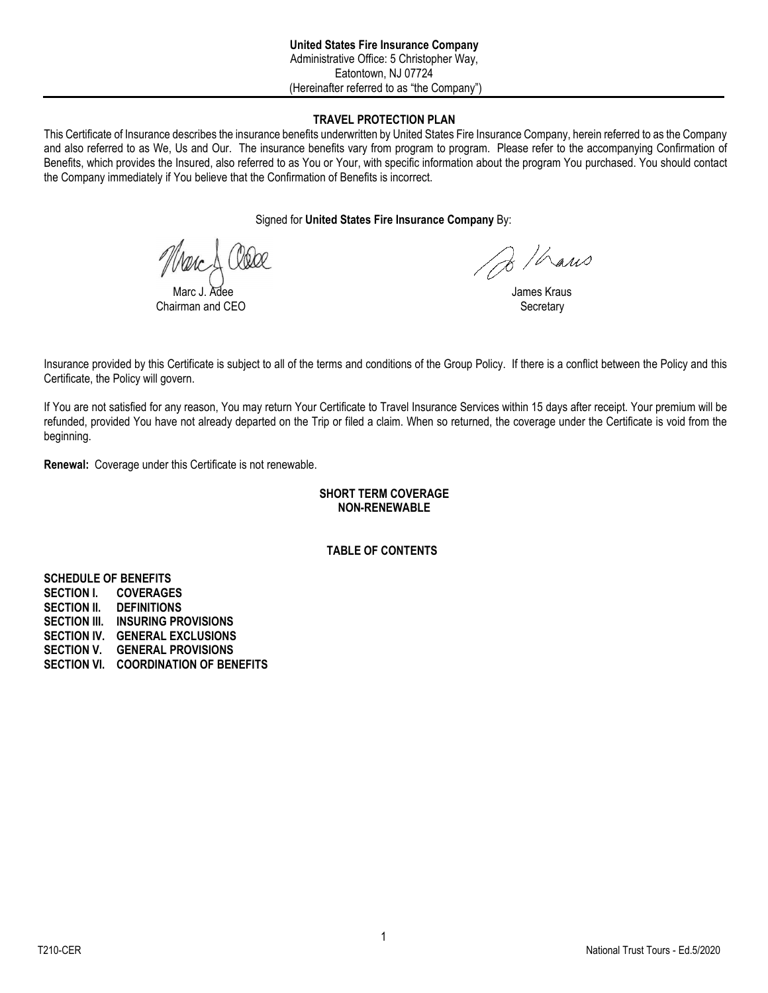### **TRAVEL PROTECTION PLAN**

This Certificate of Insurance describes the insurance benefits underwritten by United States Fire Insurance Company, herein referred to as the Company and also referred to as We, Us and Our. The insurance benefits vary from program to program. Please refer to the accompanying Confirmation of Benefits, which provides the Insured, also referred to as You or Your, with specific information about the program You purchased. You should contact the Company immediately if You believe that the Confirmation of Benefits is incorrect.

Signed for **United States Fire Insurance Company** By:

 $Chairman$  and  $CFO$ 

Do / hans

James Kraus<br>Secretary

Insurance provided by this Certificate is subject to all of the terms and conditions of the Group Policy. If there is a conflict between the Policy and this Certificate, the Policy will govern.

If You are not satisfied for any reason, You may return Your Certificate to Travel Insurance Services within 15 days after receipt. Your premium will be refunded, provided You have not already departed on the Trip or filed a claim. When so returned, the coverage under the Certificate is void from the beginning.

**Renewal:** Coverage under this Certificate is not renewable.

## **SHORT TERM COVERAGE NON-RENEWABLE**

**TABLE OF CONTENTS** 

**SCHEDULE OF BENEFITS SECTION I. COVERAGES SECTION II. DEFINITIONS SECTION III. INSURING PROVISIONS SECTION IV. GENERAL EXCLUSIONS SECTION V. GENERAL PROVISIONS SECTION VI. COORDINATION OF BENEFITS**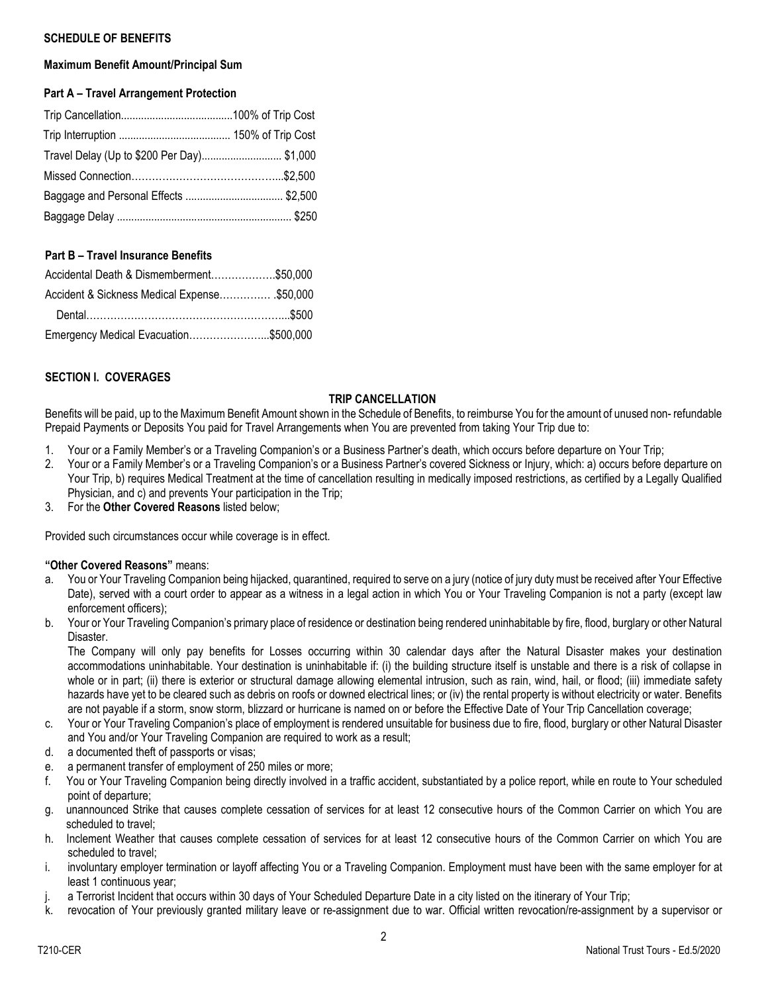## **SCHEDULE OF BENEFITS**

## **Maximum Benefit Amount/Principal Sum**

## **Part A – Travel Arrangement Protection**

| Travel Delay (Up to \$200 Per Day) \$1,000 |  |
|--------------------------------------------|--|
|                                            |  |
|                                            |  |
|                                            |  |

## **Part B – Travel Insurance Benefits**

| Accidental Death & Dismemberment\$50,000    |  |
|---------------------------------------------|--|
| Accident & Sickness Medical Expense\$50,000 |  |
|                                             |  |
| Emergency Medical Evacuation\$500,000       |  |

## **SECTION I. COVERAGES**

## **TRIP CANCELLATION**

Benefits will be paid, up to the Maximum Benefit Amount shown in the Schedule of Benefits, to reimburse You for the amount of unused non- refundable Prepaid Payments or Deposits You paid for Travel Arrangements when You are prevented from taking Your Trip due to:

- 1. Your or a Family Member's or a Traveling Companion's or a Business Partner's death, which occurs before departure on Your Trip;
- 2. Your or a Family Member's or a Traveling Companion's or a Business Partner's covered Sickness or Injury, which: a) occurs before departure on Your Trip, b) requires Medical Treatment at the time of cancellation resulting in medically imposed restrictions, as certified by a Legally Qualified Physician, and c) and prevents Your participation in the Trip;
- 3. For the **Other Covered Reasons** listed below;

Provided such circumstances occur while coverage is in effect.

#### **"Other Covered Reasons"** means:

- a. You or Your Traveling Companion being hijacked, quarantined, required to serve on a jury (notice of jury duty must be received after Your Effective Date), served with a court order to appear as a witness in a legal action in which You or Your Traveling Companion is not a party (except law enforcement officers);
- b. Your or Your Traveling Companion's primary place of residence or destination being rendered uninhabitable by fire, flood, burglary or other Natural Disaster.

The Company will only pay benefits for Losses occurring within 30 calendar days after the Natural Disaster makes your destination accommodations uninhabitable. Your destination is uninhabitable if: (i) the building structure itself is unstable and there is a risk of collapse in whole or in part; (ii) there is exterior or structural damage allowing elemental intrusion, such as rain, wind, hail, or flood; (iii) immediate safety hazards have yet to be cleared such as debris on roofs or downed electrical lines; or (iv) the rental property is without electricity or water. Benefits are not payable if a storm, snow storm, blizzard or hurricane is named on or before the Effective Date of Your Trip Cancellation coverage;

- c. Your or Your Traveling Companion's place of employment is rendered unsuitable for business due to fire, flood, burglary or other Natural Disaster and You and/or Your Traveling Companion are required to work as a result;
- d. a documented theft of passports or visas;
- e. a permanent transfer of employment of 250 miles or more;
- f. You or Your Traveling Companion being directly involved in a traffic accident, substantiated by a police report, while en route to Your scheduled point of departure;
- g. unannounced Strike that causes complete cessation of services for at least 12 consecutive hours of the Common Carrier on which You are scheduled to travel;
- h. Inclement Weather that causes complete cessation of services for at least 12 consecutive hours of the Common Carrier on which You are scheduled to travel;
- i. involuntary employer termination or layoff affecting You or a Traveling Companion. Employment must have been with the same employer for at least 1 continuous year;
- j. a Terrorist Incident that occurs within 30 days of Your Scheduled Departure Date in a city listed on the itinerary of Your Trip;
- k. revocation of Your previously granted military leave or re-assignment due to war. Official written revocation/re-assignment by a supervisor or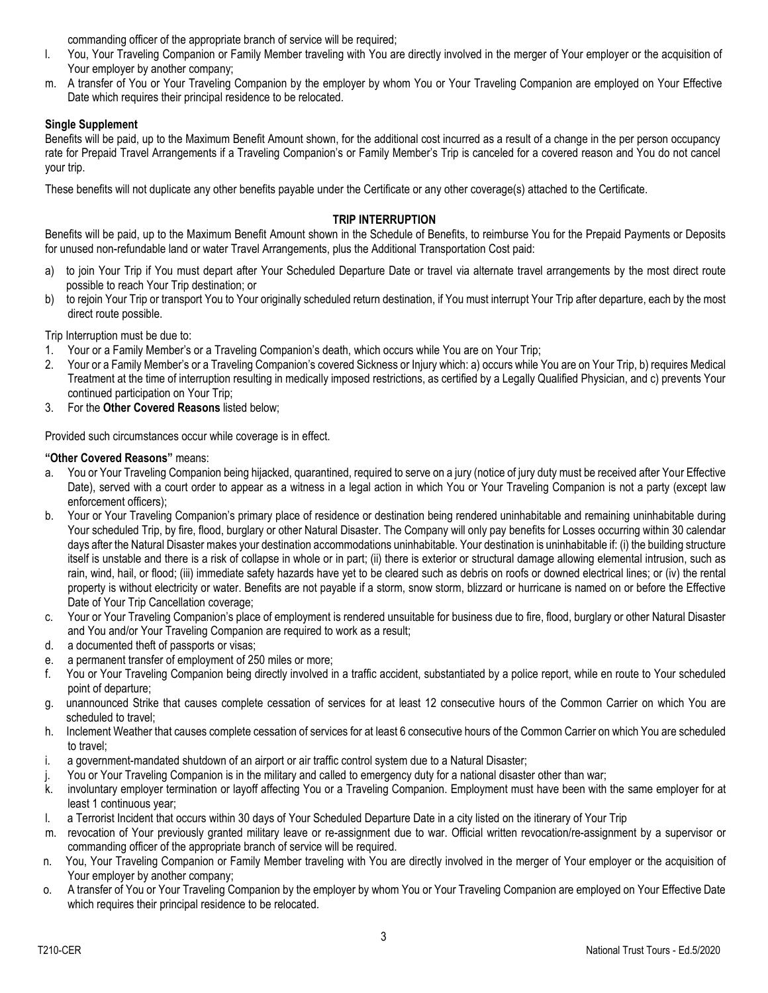commanding officer of the appropriate branch of service will be required;

- l. You, Your Traveling Companion or Family Member traveling with You are directly involved in the merger of Your employer or the acquisition of Your employer by another company;
- m. A transfer of You or Your Traveling Companion by the employer by whom You or Your Traveling Companion are employed on Your Effective Date which requires their principal residence to be relocated.

## **Single Supplement**

Benefits will be paid, up to the Maximum Benefit Amount shown, for the additional cost incurred as a result of a change in the per person occupancy rate for Prepaid Travel Arrangements if a Traveling Companion's or Family Member's Trip is canceled for a covered reason and You do not cancel your trip.

These benefits will not duplicate any other benefits payable under the Certificate or any other coverage(s) attached to the Certificate.

## **TRIP INTERRUPTION**

Benefits will be paid, up to the Maximum Benefit Amount shown in the Schedule of Benefits, to reimburse You for the Prepaid Payments or Deposits for unused non-refundable land or water Travel Arrangements, plus the Additional Transportation Cost paid:

- a) to join Your Trip if You must depart after Your Scheduled Departure Date or travel via alternate travel arrangements by the most direct route possible to reach Your Trip destination; or
- b) to rejoin Your Trip or transport You to Your originally scheduled return destination, if You must interrupt Your Trip after departure, each by the most direct route possible.

Trip Interruption must be due to:

- 1. Your or a Family Member's or a Traveling Companion's death, which occurs while You are on Your Trip;
- 2. Your or a Family Member's or a Traveling Companion's covered Sickness or Injury which: a) occurs while You are on Your Trip, b) requires Medical Treatment at the time of interruption resulting in medically imposed restrictions, as certified by a Legally Qualified Physician, and c) prevents Your continued participation on Your Trip;
- 3. For the **Other Covered Reasons** listed below;

Provided such circumstances occur while coverage is in effect.

## **"Other Covered Reasons"** means:

- a. You or Your Traveling Companion being hijacked, quarantined, required to serve on a jury (notice of jury duty must be received after Your Effective Date), served with a court order to appear as a witness in a legal action in which You or Your Traveling Companion is not a party (except law enforcement officers);
- b. Your or Your Traveling Companion's primary place of residence or destination being rendered uninhabitable and remaining uninhabitable during Your scheduled Trip, by fire, flood, burglary or other Natural Disaster. The Company will only pay benefits for Losses occurring within 30 calendar days after the Natural Disaster makes your destination accommodations uninhabitable. Your destination is uninhabitable if: (i) the building structure itself is unstable and there is a risk of collapse in whole or in part; (ii) there is exterior or structural damage allowing elemental intrusion, such as rain, wind, hail, or flood; (iii) immediate safety hazards have yet to be cleared such as debris on roofs or downed electrical lines; or (iv) the rental property is without electricity or water. Benefits are not payable if a storm, snow storm, blizzard or hurricane is named on or before the Effective Date of Your Trip Cancellation coverage;
- c. Your or Your Traveling Companion's place of employment is rendered unsuitable for business due to fire, flood, burglary or other Natural Disaster and You and/or Your Traveling Companion are required to work as a result;
- d. a documented theft of passports or visas;
- e. a permanent transfer of employment of 250 miles or more;
- f. You or Your Traveling Companion being directly involved in a traffic accident, substantiated by a police report, while en route to Your scheduled point of departure;
- g. unannounced Strike that causes complete cessation of services for at least 12 consecutive hours of the Common Carrier on which You are scheduled to travel;
- h. Inclement Weather that causes complete cessation of services for at least 6 consecutive hours of the Common Carrier on which You are scheduled to travel;
- i. a government-mandated shutdown of an airport or air traffic control system due to a Natural Disaster;
- j. You or Your Traveling Companion is in the military and called to emergency duty for a national disaster other than war;
- k. involuntary employer termination or layoff affecting You or a Traveling Companion. Employment must have been with the same employer for at least 1 continuous year;
- l. a Terrorist Incident that occurs within 30 days of Your Scheduled Departure Date in a city listed on the itinerary of Your Trip
- m. revocation of Your previously granted military leave or re-assignment due to war. Official written revocation/re-assignment by a supervisor or commanding officer of the appropriate branch of service will be required.
- n. You, Your Traveling Companion or Family Member traveling with You are directly involved in the merger of Your employer or the acquisition of Your employer by another company;
- o. A transfer of You or Your Traveling Companion by the employer by whom You or Your Traveling Companion are employed on Your Effective Date which requires their principal residence to be relocated.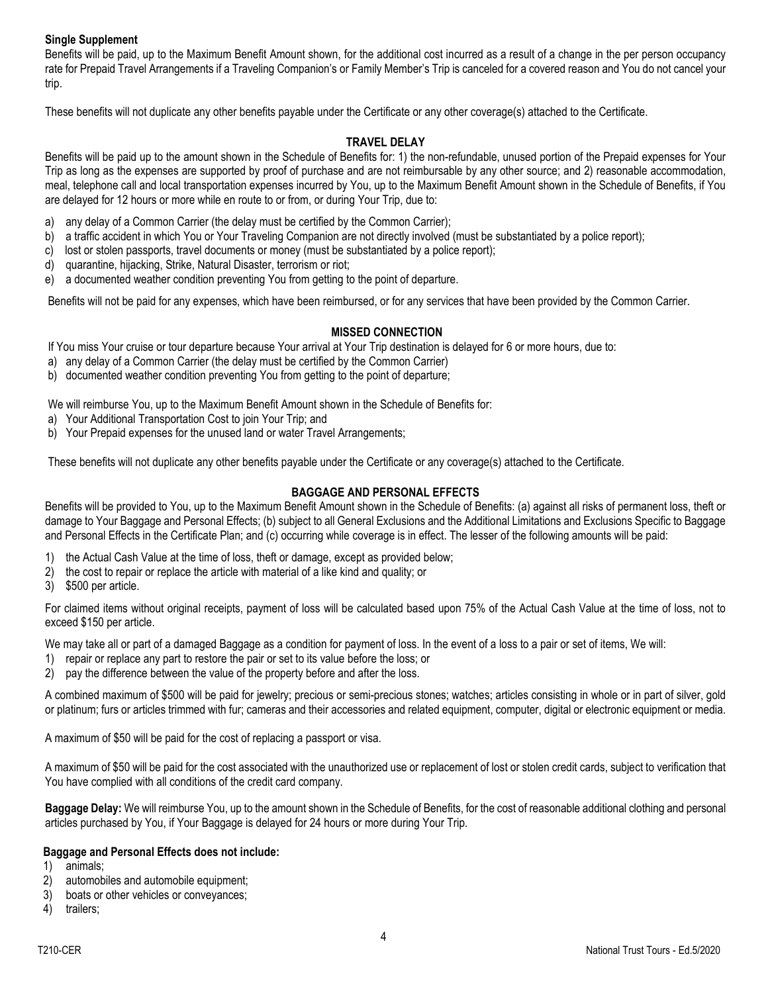## **Single Supplement**

Benefits will be paid, up to the Maximum Benefit Amount shown, for the additional cost incurred as a result of a change in the per person occupancy rate for Prepaid Travel Arrangements if a Traveling Companion's or Family Member's Trip is canceled for a covered reason and You do not cancel your trip.

These benefits will not duplicate any other benefits payable under the Certificate or any other coverage(s) attached to the Certificate.

## **TRAVEL DELAY**

Benefits will be paid up to the amount shown in the Schedule of Benefits for: 1) the non-refundable, unused portion of the Prepaid expenses for Your Trip as long as the expenses are supported by proof of purchase and are not reimbursable by any other source; and 2) reasonable accommodation, meal, telephone call and local transportation expenses incurred by You, up to the Maximum Benefit Amount shown in the Schedule of Benefits, if You are delayed for 12 hours or more while en route to or from, or during Your Trip, due to:

- a) any delay of a Common Carrier (the delay must be certified by the Common Carrier);
- b) a traffic accident in which You or Your Traveling Companion are not directly involved (must be substantiated by a police report);
- c) lost or stolen passports, travel documents or money (must be substantiated by a police report);
- d) quarantine, hijacking, Strike, Natural Disaster, terrorism or riot;
- e) a documented weather condition preventing You from getting to the point of departure.

Benefits will not be paid for any expenses, which have been reimbursed, or for any services that have been provided by the Common Carrier.

## **MISSED CONNECTION**

If You miss Your cruise or tour departure because Your arrival at Your Trip destination is delayed for 6 or more hours, due to:

- a) any delay of a Common Carrier (the delay must be certified by the Common Carrier)
- b) documented weather condition preventing You from getting to the point of departure;

We will reimburse You, up to the Maximum Benefit Amount shown in the Schedule of Benefits for:

- a) Your Additional Transportation Cost to join Your Trip; and
- b) Your Prepaid expenses for the unused land or water Travel Arrangements;

These benefits will not duplicate any other benefits payable under the Certificate or any coverage(s) attached to the Certificate.

## **BAGGAGE AND PERSONAL EFFECTS**

Benefits will be provided to You, up to the Maximum Benefit Amount shown in the Schedule of Benefits: (a) against all risks of permanent loss, theft or damage to Your Baggage and Personal Effects; (b) subject to all General Exclusions and the Additional Limitations and Exclusions Specific to Baggage and Personal Effects in the Certificate Plan; and (c) occurring while coverage is in effect. The lesser of the following amounts will be paid:

- 1) the Actual Cash Value at the time of loss, theft or damage, except as provided below;
- 2) the cost to repair or replace the article with material of a like kind and quality; or
- 3) \$500 per article.

For claimed items without original receipts, payment of loss will be calculated based upon 75% of the Actual Cash Value at the time of loss, not to exceed \$150 per article.

We may take all or part of a damaged Baggage as a condition for payment of loss. In the event of a loss to a pair or set of items, We will:

- 1) repair or replace any part to restore the pair or set to its value before the loss; or
- 2) pay the difference between the value of the property before and after the loss.

A combined maximum of \$500 will be paid for jewelry; precious or semi-precious stones; watches; articles consisting in whole or in part of silver, gold or platinum; furs or articles trimmed with fur; cameras and their accessories and related equipment, computer, digital or electronic equipment or media.

A maximum of \$50 will be paid for the cost of replacing a passport or visa.

A maximum of \$50 will be paid for the cost associated with the unauthorized use or replacement of lost or stolen credit cards, subject to verification that You have complied with all conditions of the credit card company.

**Baggage Delay:** We will reimburse You, up to the amount shown in the Schedule of Benefits, for the cost of reasonable additional clothing and personal articles purchased by You, if Your Baggage is delayed for 24 hours or more during Your Trip.

#### **Baggage and Personal Effects does not include:**

- 1) animals;
- 2) automobiles and automobile equipment;
- 3) boats or other vehicles or conveyances;
- 4) trailers;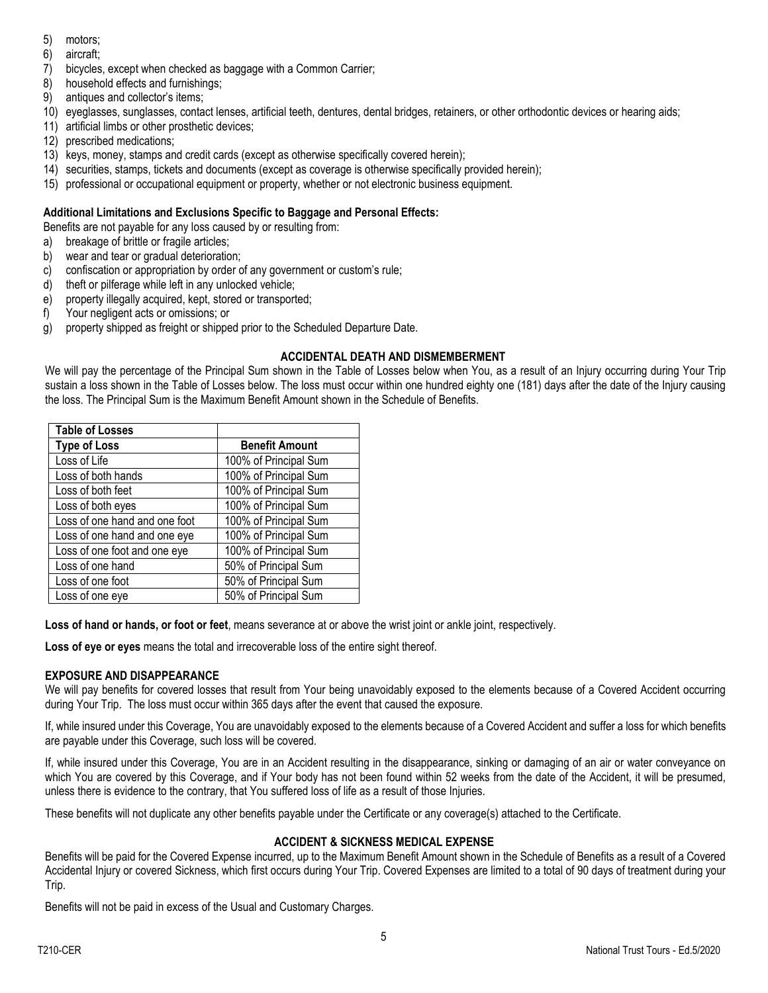- 5) motors;
- 6) aircraft;
- 7) bicycles, except when checked as baggage with a Common Carrier;
- 8) household effects and furnishings;
- 9) antiques and collector's items;
- 10) eyeglasses, sunglasses, contact lenses, artificial teeth, dentures, dental bridges, retainers, or other orthodontic devices or hearing aids;
- 11) artificial limbs or other prosthetic devices;
- 12) prescribed medications;
- 13) keys, money, stamps and credit cards (except as otherwise specifically covered herein);
- 14) securities, stamps, tickets and documents (except as coverage is otherwise specifically provided herein);
- 15) professional or occupational equipment or property, whether or not electronic business equipment.

## **Additional Limitations and Exclusions Specific to Baggage and Personal Effects:**

Benefits are not payable for any loss caused by or resulting from:

- a) breakage of brittle or fragile articles;
- b) wear and tear or gradual deterioration;
- c) confiscation or appropriation by order of any government or custom's rule;
- d) theft or pilferage while left in any unlocked vehicle;
- e) property illegally acquired, kept, stored or transported;
- f) Your negligent acts or omissions; or
- g) property shipped as freight or shipped prior to the Scheduled Departure Date.

## **ACCIDENTAL DEATH AND DISMEMBERMENT**

We will pay the percentage of the Principal Sum shown in the Table of Losses below when You, as a result of an Injury occurring during Your Trip sustain a loss shown in the Table of Losses below. The loss must occur within one hundred eighty one (181) days after the date of the Injury causing the loss. The Principal Sum is the Maximum Benefit Amount shown in the Schedule of Benefits.

| <b>Table of Losses</b>        |                       |
|-------------------------------|-----------------------|
| <b>Type of Loss</b>           | <b>Benefit Amount</b> |
| Loss of Life                  | 100% of Principal Sum |
| Loss of both hands            | 100% of Principal Sum |
| Loss of both feet             | 100% of Principal Sum |
| Loss of both eyes             | 100% of Principal Sum |
| Loss of one hand and one foot | 100% of Principal Sum |
| Loss of one hand and one eye  | 100% of Principal Sum |
| Loss of one foot and one eye  | 100% of Principal Sum |
| Loss of one hand              | 50% of Principal Sum  |
| Loss of one foot              | 50% of Principal Sum  |
| Loss of one eye               | 50% of Principal Sum  |

**Loss of hand or hands, or foot or feet**, means severance at or above the wrist joint or ankle joint, respectively.

**Loss of eye or eyes** means the total and irrecoverable loss of the entire sight thereof.

## **EXPOSURE AND DISAPPEARANCE**

We will pay benefits for covered losses that result from Your being unavoidably exposed to the elements because of a Covered Accident occurring during Your Trip. The loss must occur within 365 days after the event that caused the exposure.

If, while insured under this Coverage, You are unavoidably exposed to the elements because of a Covered Accident and suffer a loss for which benefits are payable under this Coverage, such loss will be covered.

If, while insured under this Coverage, You are in an Accident resulting in the disappearance, sinking or damaging of an air or water conveyance on which You are covered by this Coverage, and if Your body has not been found within 52 weeks from the date of the Accident, it will be presumed, unless there is evidence to the contrary, that You suffered loss of life as a result of those Injuries.

These benefits will not duplicate any other benefits payable under the Certificate or any coverage(s) attached to the Certificate.

## **ACCIDENT & SICKNESS MEDICAL EXPENSE**

Benefits will be paid for the Covered Expense incurred, up to the Maximum Benefit Amount shown in the Schedule of Benefits as a result of a Covered Accidental Injury or covered Sickness, which first occurs during Your Trip. Covered Expenses are limited to a total of 90 days of treatment during your Trip.

Benefits will not be paid in excess of the Usual and Customary Charges.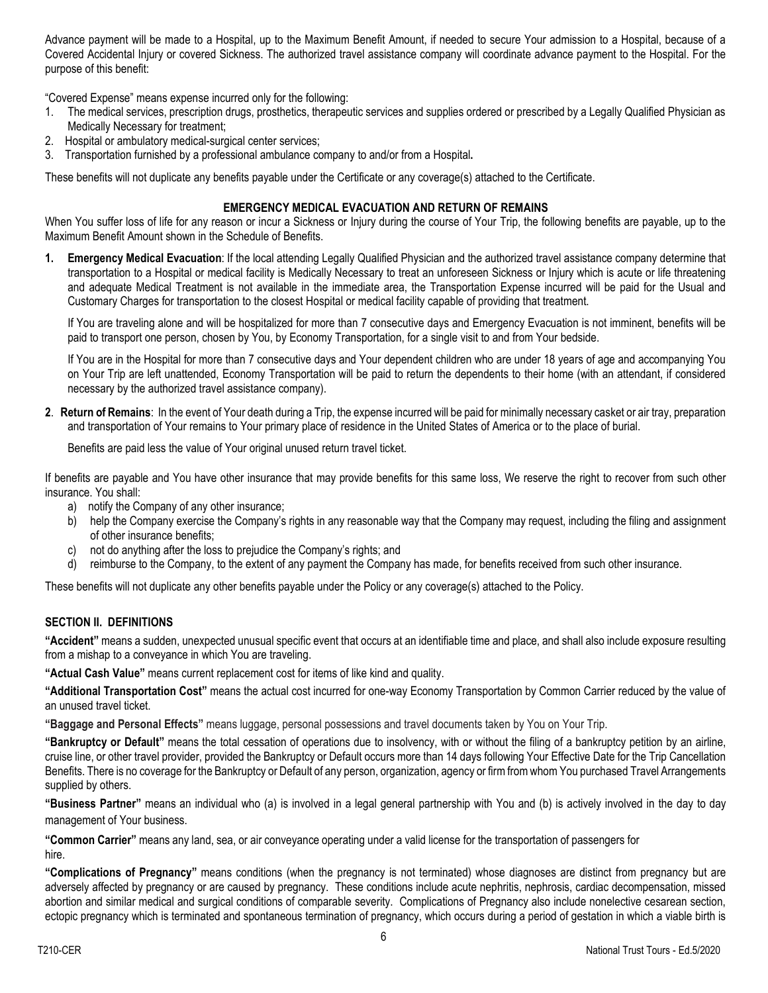Advance payment will be made to a Hospital, up to the Maximum Benefit Amount, if needed to secure Your admission to a Hospital, because of a Covered Accidental Injury or covered Sickness. The authorized travel assistance company will coordinate advance payment to the Hospital. For the purpose of this benefit:

"Covered Expense" means expense incurred only for the following:

- 1. The medical services, prescription drugs, prosthetics, therapeutic services and supplies ordered or prescribed by a Legally Qualified Physician as Medically Necessary for treatment;
- 2. Hospital or ambulatory medical-surgical center services;
- 3. Transportation furnished by a professional ambulance company to and/or from a Hospital**.**

These benefits will not duplicate any benefits payable under the Certificate or any coverage(s) attached to the Certificate.

### **EMERGENCY MEDICAL EVACUATION AND RETURN OF REMAINS**

When You suffer loss of life for any reason or incur a Sickness or Injury during the course of Your Trip, the following benefits are payable, up to the Maximum Benefit Amount shown in the Schedule of Benefits.

**1. Emergency Medical Evacuation**: If the local attending Legally Qualified Physician and the authorized travel assistance company determine that transportation to a Hospital or medical facility is Medically Necessary to treat an unforeseen Sickness or Injury which is acute or life threatening and adequate Medical Treatment is not available in the immediate area, the Transportation Expense incurred will be paid for the Usual and Customary Charges for transportation to the closest Hospital or medical facility capable of providing that treatment.

If You are traveling alone and will be hospitalized for more than 7 consecutive days and Emergency Evacuation is not imminent, benefits will be paid to transport one person, chosen by You, by Economy Transportation, for a single visit to and from Your bedside.

If You are in the Hospital for more than 7 consecutive days and Your dependent children who are under 18 years of age and accompanying You on Your Trip are left unattended, Economy Transportation will be paid to return the dependents to their home (with an attendant, if considered necessary by the authorized travel assistance company).

**2**. **Return of Remains**: In the event of Your death during a Trip, the expense incurred will be paid for minimally necessary casket or air tray, preparation and transportation of Your remains to Your primary place of residence in the United States of America or to the place of burial.

Benefits are paid less the value of Your original unused return travel ticket.

If benefits are payable and You have other insurance that may provide benefits for this same loss, We reserve the right to recover from such other insurance. You shall:

- a) notify the Company of any other insurance;
- b) help the Company exercise the Company's rights in any reasonable way that the Company may request, including the filing and assignment of other insurance benefits;
- c) not do anything after the loss to prejudice the Company's rights; and
- d) reimburse to the Company, to the extent of any payment the Company has made, for benefits received from such other insurance.

These benefits will not duplicate any other benefits payable under the Policy or any coverage(s) attached to the Policy.

#### **SECTION II. DEFINITIONS**

**"Accident"** means a sudden, unexpected unusual specific event that occurs at an identifiable time and place, and shall also include exposure resulting from a mishap to a conveyance in which You are traveling.

**"Actual Cash Value"** means current replacement cost for items of like kind and quality.

**"Additional Transportation Cost"** means the actual cost incurred for one-way Economy Transportation by Common Carrier reduced by the value of an unused travel ticket.

**"Baggage and Personal Effects"** means luggage, personal possessions and travel documents taken by You on Your Trip.

**"Bankruptcy or Default"** means the total cessation of operations due to insolvency, with or without the filing of a bankruptcy petition by an airline, cruise line, or other travel provider, provided the Bankruptcy or Default occurs more than 14 days following Your Effective Date for the Trip Cancellation Benefits. There is no coverage for the Bankruptcy or Default of any person, organization, agency or firm from whom You purchased Travel Arrangements supplied by others.

**"Business Partner"** means an individual who (a) is involved in a legal general partnership with You and (b) is actively involved in the day to day management of Your business.

**"Common Carrier"** means any land, sea, or air conveyance operating under a valid license for the transportation of passengers for hire.

**"Complications of Pregnancy"** means conditions (when the pregnancy is not terminated) whose diagnoses are distinct from pregnancy but are adversely affected by pregnancy or are caused by pregnancy. These conditions include acute nephritis, nephrosis, cardiac decompensation, missed abortion and similar medical and surgical conditions of comparable severity. Complications of Pregnancy also include nonelective cesarean section, ectopic pregnancy which is terminated and spontaneous termination of pregnancy, which occurs during a period of gestation in which a viable birth is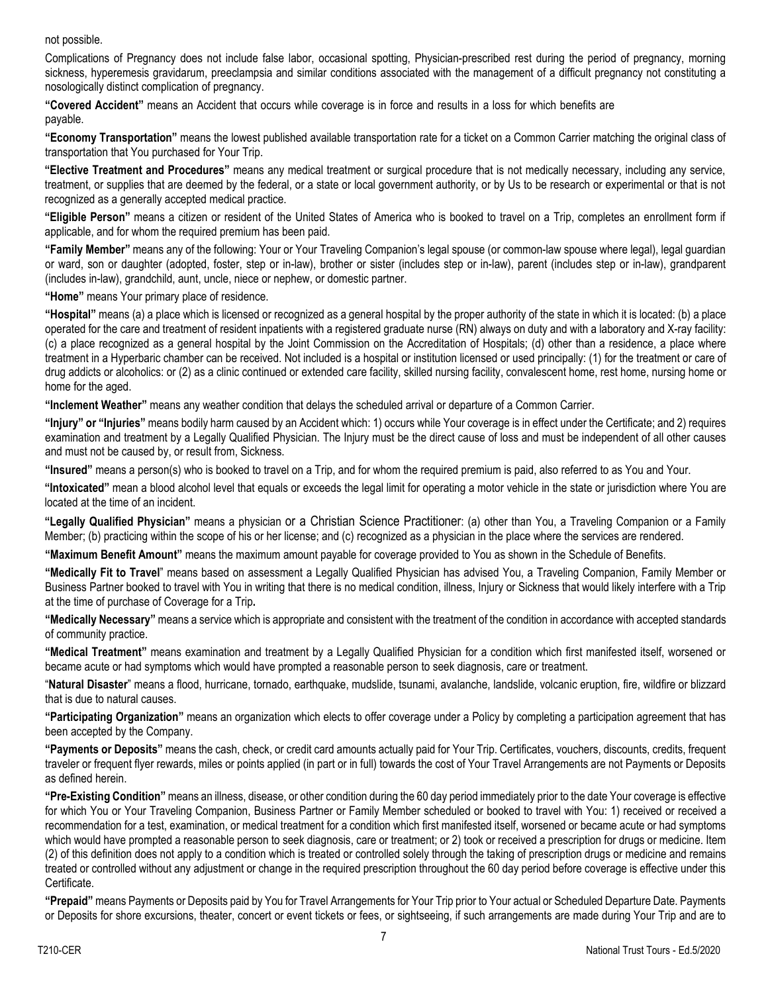#### not possible.

Complications of Pregnancy does not include false labor, occasional spotting, Physician-prescribed rest during the period of pregnancy, morning sickness, hyperemesis gravidarum, preeclampsia and similar conditions associated with the management of a difficult pregnancy not constituting a nosologically distinct complication of pregnancy.

**"Covered Accident"** means an Accident that occurs while coverage is in force and results in a loss for which benefits are payable.

**"Economy Transportation"** means the lowest published available transportation rate for a ticket on a Common Carrier matching the original class of transportation that You purchased for Your Trip.

**"Elective Treatment and Procedures"** means any medical treatment or surgical procedure that is not medically necessary, including any service, treatment, or supplies that are deemed by the federal, or a state or local government authority, or by Us to be research or experimental or that is not recognized as a generally accepted medical practice.

**"Eligible Person"** means a citizen or resident of the United States of America who is booked to travel on a Trip, completes an enrollment form if applicable, and for whom the required premium has been paid.

**"Family Member"** means any of the following: Your or Your Traveling Companion's legal spouse (or common-law spouse where legal), legal guardian or ward, son or daughter (adopted, foster, step or in-law), brother or sister (includes step or in-law), parent (includes step or in-law), grandparent (includes in-law), grandchild, aunt, uncle, niece or nephew, or domestic partner.

**"Home"** means Your primary place of residence.

**"Hospital"** means (a) a place which is licensed or recognized as a general hospital by the proper authority of the state in which it is located: (b) a place operated for the care and treatment of resident inpatients with a registered graduate nurse (RN) always on duty and with a laboratory and X-ray facility: (c) a place recognized as a general hospital by the Joint Commission on the Accreditation of Hospitals; (d) other than a residence, a place where treatment in a Hyperbaric chamber can be received. Not included is a hospital or institution licensed or used principally: (1) for the treatment or care of drug addicts or alcoholics: or (2) as a clinic continued or extended care facility, skilled nursing facility, convalescent home, rest home, nursing home or home for the aged.

**"Inclement Weather"** means any weather condition that delays the scheduled arrival or departure of a Common Carrier.

**"Injury" or "Injuries"** means bodily harm caused by an Accident which: 1) occurs while Your coverage is in effect under the Certificate; and 2) requires examination and treatment by a Legally Qualified Physician. The Injury must be the direct cause of loss and must be independent of all other causes and must not be caused by, or result from, Sickness.

**"Insured"** means a person(s) who is booked to travel on a Trip, and for whom the required premium is paid, also referred to as You and Your.

**"Intoxicated"** mean a blood alcohol level that equals or exceeds the legal limit for operating a motor vehicle in the state or jurisdiction where You are located at the time of an incident.

**"Legally Qualified Physician"** means a physician or a Christian Science Practitioner: (a) other than You, a Traveling Companion or a Family Member; (b) practicing within the scope of his or her license; and (c) recognized as a physician in the place where the services are rendered.

**"Maximum Benefit Amount"** means the maximum amount payable for coverage provided to You as shown in the Schedule of Benefits.

**"Medically Fit to Travel**" means based on assessment a Legally Qualified Physician has advised You, a Traveling Companion, Family Member or Business Partner booked to travel with You in writing that there is no medical condition, illness, Injury or Sickness that would likely interfere with a Trip at the time of purchase of Coverage for a Trip**.**

**"Medically Necessary"** means a service which is appropriate and consistent with the treatment of the condition in accordance with accepted standards of community practice.

**"Medical Treatment"** means examination and treatment by a Legally Qualified Physician for a condition which first manifested itself, worsened or became acute or had symptoms which would have prompted a reasonable person to seek diagnosis, care or treatment.

"**Natural Disaster**" means a flood, hurricane, tornado, earthquake, mudslide, tsunami, avalanche, landslide, volcanic eruption, fire, wildfire or blizzard that is due to natural causes.

**"Participating Organization"** means an organization which elects to offer coverage under a Policy by completing a participation agreement that has been accepted by the Company.

**"Payments or Deposits"** means the cash, check, or credit card amounts actually paid for Your Trip. Certificates, vouchers, discounts, credits, frequent traveler or frequent flyer rewards, miles or points applied (in part or in full) towards the cost of Your Travel Arrangements are not Payments or Deposits as defined herein.

**"Pre-Existing Condition"** means an illness, disease, or other condition during the 60 day period immediately prior to the date Your coverage is effective for which You or Your Traveling Companion, Business Partner or Family Member scheduled or booked to travel with You: 1) received or received a recommendation for a test, examination, or medical treatment for a condition which first manifested itself, worsened or became acute or had symptoms which would have prompted a reasonable person to seek diagnosis, care or treatment; or 2) took or received a prescription for drugs or medicine. Item (2) of this definition does not apply to a condition which is treated or controlled solely through the taking of prescription drugs or medicine and remains treated or controlled without any adjustment or change in the required prescription throughout the 60 day period before coverage is effective under this Certificate.

**"Prepaid"** means Payments or Deposits paid by You for Travel Arrangements for Your Trip prior to Your actual or Scheduled Departure Date. Payments or Deposits for shore excursions, theater, concert or event tickets or fees, or sightseeing, if such arrangements are made during Your Trip and are to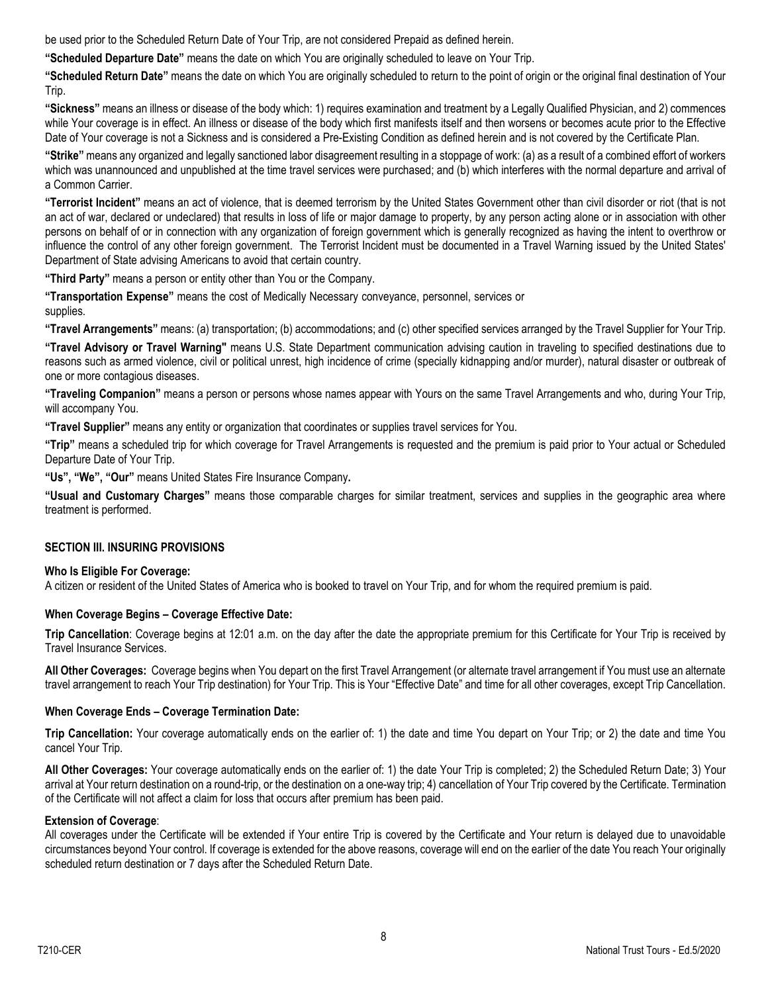be used prior to the Scheduled Return Date of Your Trip, are not considered Prepaid as defined herein.

**"Scheduled Departure Date"** means the date on which You are originally scheduled to leave on Your Trip.

**"Scheduled Return Date"** means the date on which You are originally scheduled to return to the point of origin or the original final destination of Your Trip.

**"Sickness"** means an illness or disease of the body which: 1) requires examination and treatment by a Legally Qualified Physician, and 2) commences while Your coverage is in effect. An illness or disease of the body which first manifests itself and then worsens or becomes acute prior to the Effective Date of Your coverage is not a Sickness and is considered a Pre-Existing Condition as defined herein and is not covered by the Certificate Plan.

**"Strike"** means any organized and legally sanctioned labor disagreement resulting in a stoppage of work: (a) as a result of a combined effort of workers which was unannounced and unpublished at the time travel services were purchased; and (b) which interferes with the normal departure and arrival of a Common Carrier.

**"Terrorist Incident"** means an act of violence, that is deemed terrorism by the United States Government other than civil disorder or riot (that is not an act of war, declared or undeclared) that results in loss of life or major damage to property, by any person acting alone or in association with other persons on behalf of or in connection with any organization of foreign government which is generally recognized as having the intent to overthrow or influence the control of any other foreign government. The Terrorist Incident must be documented in a Travel Warning issued by the United States' Department of State advising Americans to avoid that certain country.

**"Third Party"** means a person or entity other than You or the Company.

**"Transportation Expense"** means the cost of Medically Necessary conveyance, personnel, services or supplies.

**"Travel Arrangements"** means: (a) transportation; (b) accommodations; and (c) other specified services arranged by the Travel Supplier for Your Trip.

**"Travel Advisory or Travel Warning"** means U.S. State Department communication advising caution in traveling to specified destinations due to reasons such as armed violence, civil or political unrest, high incidence of crime (specially kidnapping and/or murder), natural disaster or outbreak of one or more contagious diseases.

**"Traveling Companion"** means a person or persons whose names appear with Yours on the same Travel Arrangements and who, during Your Trip, will accompany You.

**"Travel Supplier"** means any entity or organization that coordinates or supplies travel services for You.

**"Trip"** means a scheduled trip for which coverage for Travel Arrangements is requested and the premium is paid prior to Your actual or Scheduled Departure Date of Your Trip.

**"Us", "We", "Our"** means United States Fire Insurance Company**.**

**"Usual and Customary Charges"** means those comparable charges for similar treatment, services and supplies in the geographic area where treatment is performed.

#### **SECTION III. INSURING PROVISIONS**

### **Who Is Eligible For Coverage:**

A citizen or resident of the United States of America who is booked to travel on Your Trip, and for whom the required premium is paid.

#### **When Coverage Begins – Coverage Effective Date:**

**Trip Cancellation**: Coverage begins at 12:01 a.m. on the day after the date the appropriate premium for this Certificate for Your Trip is received by Travel Insurance Services.

**All Other Coverages:** Coverage begins when You depart on the first Travel Arrangement (or alternate travel arrangement if You must use an alternate travel arrangement to reach Your Trip destination) for Your Trip. This is Your "Effective Date" and time for all other coverages, except Trip Cancellation.

#### **When Coverage Ends – Coverage Termination Date:**

**Trip Cancellation:** Your coverage automatically ends on the earlier of: 1) the date and time You depart on Your Trip; or 2) the date and time You cancel Your Trip.

**All Other Coverages:** Your coverage automatically ends on the earlier of: 1) the date Your Trip is completed; 2) the Scheduled Return Date; 3) Your arrival at Your return destination on a round-trip, or the destination on a one-way trip; 4) cancellation of Your Trip covered by the Certificate. Termination of the Certificate will not affect a claim for loss that occurs after premium has been paid.

#### **Extension of Coverage**:

All coverages under the Certificate will be extended if Your entire Trip is covered by the Certificate and Your return is delayed due to unavoidable circumstances beyond Your control. If coverage is extended for the above reasons, coverage will end on the earlier of the date You reach Your originally scheduled return destination or 7 days after the Scheduled Return Date.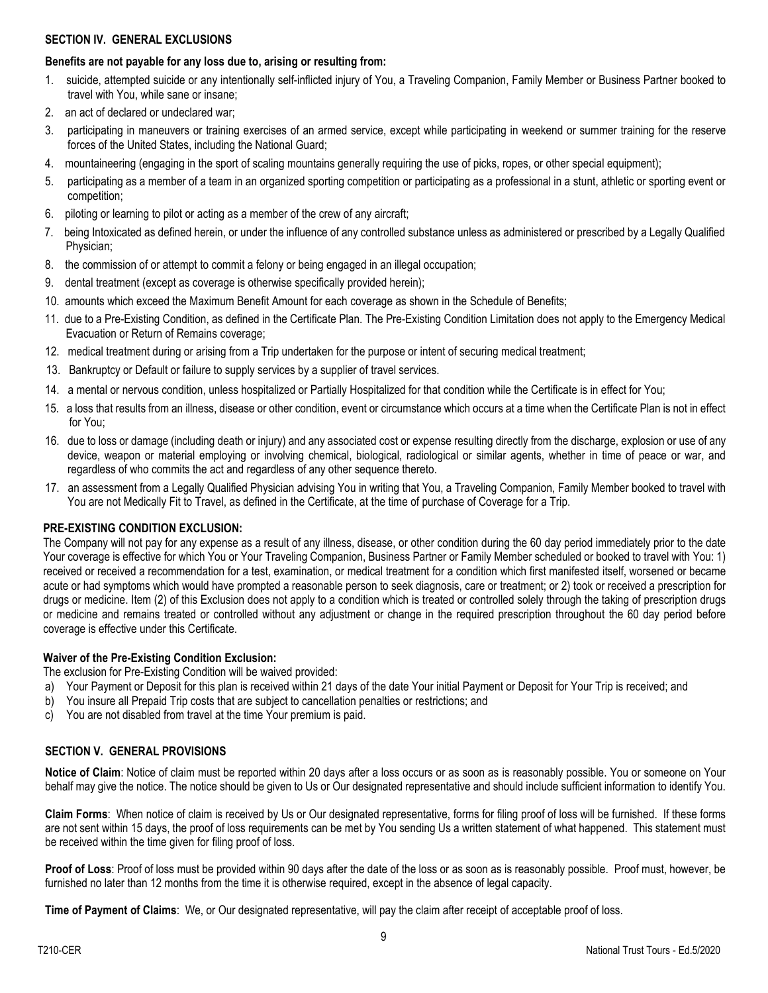#### **SECTION IV. GENERAL EXCLUSIONS**

# **Benefits are not payable for any loss due to, arising or resulting from:**

- 1. suicide, attempted suicide or any intentionally self-inflicted injury of You, a Traveling Companion, Family Member or Business Partner booked to travel with You, while sane or insane;
- 2. an act of declared or undeclared war;
- 3. participating in maneuvers or training exercises of an armed service, except while participating in weekend or summer training for the reserve forces of the United States, including the National Guard;
- 4. mountaineering (engaging in the sport of scaling mountains generally requiring the use of picks, ropes, or other special equipment);
- 5. participating as a member of a team in an organized sporting competition or participating as a professional in a stunt, athletic or sporting event or competition;
- 6. piloting or learning to pilot or acting as a member of the crew of any aircraft;
- 7. being Intoxicated as defined herein, or under the influence of any controlled substance unless as administered or prescribed by a Legally Qualified Physician;
- 8. the commission of or attempt to commit a felony or being engaged in an illegal occupation;
- 9. dental treatment (except as coverage is otherwise specifically provided herein);
- 10. amounts which exceed the Maximum Benefit Amount for each coverage as shown in the Schedule of Benefits;
- 11. due to a Pre-Existing Condition, as defined in the Certificate Plan. The Pre-Existing Condition Limitation does not apply to the Emergency Medical Evacuation or Return of Remains coverage;
- 12. medical treatment during or arising from a Trip undertaken for the purpose or intent of securing medical treatment;
- 13. Bankruptcy or Default or failure to supply services by a supplier of travel services.
- 14. a mental or nervous condition, unless hospitalized or Partially Hospitalized for that condition while the Certificate is in effect for You;
- 15. a loss that results from an illness, disease or other condition, event or circumstance which occurs at a time when the Certificate Plan is not in effect for You;
- 16. due to loss or damage (including death or injury) and any associated cost or expense resulting directly from the discharge, explosion or use of any device, weapon or material employing or involving chemical, biological, radiological or similar agents, whether in time of peace or war, and regardless of who commits the act and regardless of any other sequence thereto.
- 17. an assessment from a Legally Qualified Physician advising You in writing that You, a Traveling Companion, Family Member booked to travel with You are not Medically Fit to Travel, as defined in the Certificate, at the time of purchase of Coverage for a Trip.

# **PRE-EXISTING CONDITION EXCLUSION:**

The Company will not pay for any expense as a result of any illness, disease, or other condition during the 60 day period immediately prior to the date Your coverage is effective for which You or Your Traveling Companion, Business Partner or Family Member scheduled or booked to travel with You: 1) received or received a recommendation for a test, examination, or medical treatment for a condition which first manifested itself, worsened or became acute or had symptoms which would have prompted a reasonable person to seek diagnosis, care or treatment; or 2) took or received a prescription for drugs or medicine. Item (2) of this Exclusion does not apply to a condition which is treated or controlled solely through the taking of prescription drugs or medicine and remains treated or controlled without any adjustment or change in the required prescription throughout the 60 day period before coverage is effective under this Certificate.

# **Waiver of the Pre-Existing Condition Exclusion:**

The exclusion for Pre-Existing Condition will be waived provided:

- a) Your Payment or Deposit for this plan is received within 21 days of the date Your initial Payment or Deposit for Your Trip is received; and
- b) You insure all Prepaid Trip costs that are subject to cancellation penalties or restrictions; and
- c) You are not disabled from travel at the time Your premium is paid.

# **SECTION V. GENERAL PROVISIONS**

**Notice of Claim**: Notice of claim must be reported within 20 days after a loss occurs or as soon as is reasonably possible. You or someone on Your behalf may give the notice. The notice should be given to Us or Our designated representative and should include sufficient information to identify You.

**Claim Forms**: When notice of claim is received by Us or Our designated representative, forms for filing proof of loss will be furnished. If these forms are not sent within 15 days, the proof of loss requirements can be met by You sending Us a written statement of what happened. This statement must be received within the time given for filing proof of loss.

**Proof of Loss**: Proof of loss must be provided within 90 days after the date of the loss or as soon as is reasonably possible. Proof must, however, be furnished no later than 12 months from the time it is otherwise required, except in the absence of legal capacity.

**Time of Payment of Claims**: We, or Our designated representative, will pay the claim after receipt of acceptable proof of loss.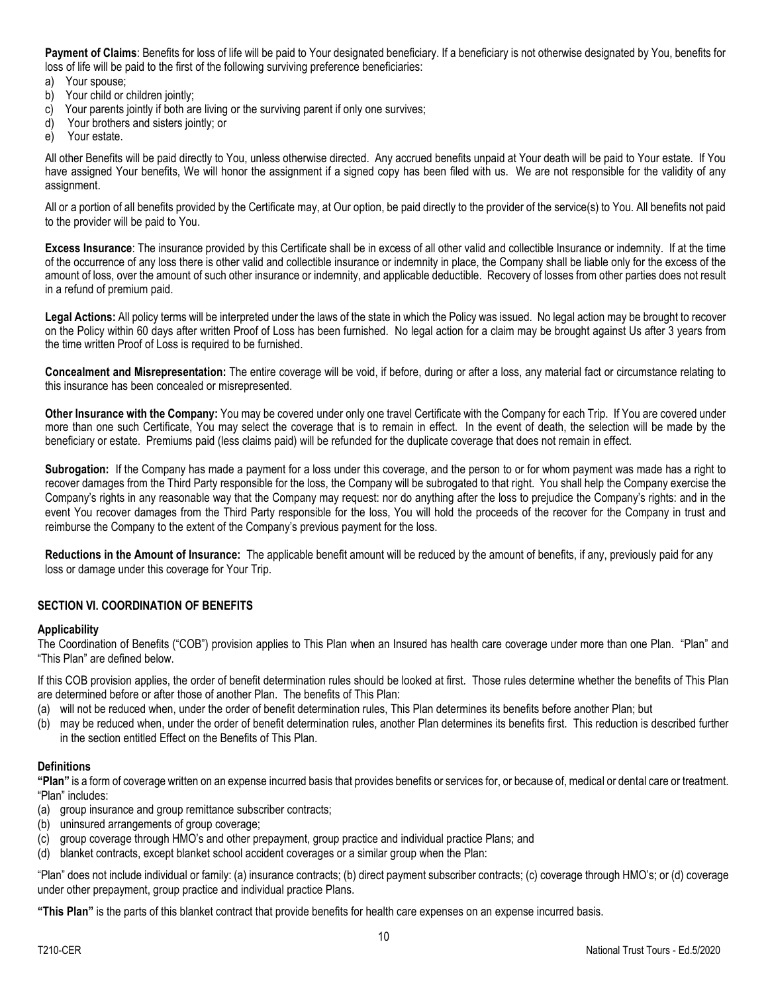**Payment of Claims**: Benefits for loss of life will be paid to Your designated beneficiary. If a beneficiary is not otherwise designated by You, benefits for loss of life will be paid to the first of the following surviving preference beneficiaries:

- a) Your spouse;
- b) Your child or children jointly;
- c) Your parents jointly if both are living or the surviving parent if only one survives;
- d) Your brothers and sisters jointly; or
- e) Your estate.

All other Benefits will be paid directly to You, unless otherwise directed. Any accrued benefits unpaid at Your death will be paid to Your estate. If You have assigned Your benefits, We will honor the assignment if a signed copy has been filed with us. We are not responsible for the validity of any assignment.

All or a portion of all benefits provided by the Certificate may, at Our option, be paid directly to the provider of the service(s) to You. All benefits not paid to the provider will be paid to You.

**Excess Insurance**: The insurance provided by this Certificate shall be in excess of all other valid and collectible Insurance or indemnity. If at the time of the occurrence of any loss there is other valid and collectible insurance or indemnity in place, the Company shall be liable only for the excess of the amount of loss, over the amount of such other insurance or indemnity, and applicable deductible. Recovery of losses from other parties does not result in a refund of premium paid.

**Legal Actions:** All policy terms will be interpreted under the laws of the state in which the Policy was issued. No legal action may be brought to recover on the Policy within 60 days after written Proof of Loss has been furnished. No legal action for a claim may be brought against Us after 3 years from the time written Proof of Loss is required to be furnished.

**Concealment and Misrepresentation:** The entire coverage will be void, if before, during or after a loss, any material fact or circumstance relating to this insurance has been concealed or misrepresented.

**Other Insurance with the Company:** You may be covered under only one travel Certificate with the Company for each Trip. If You are covered under more than one such Certificate, You may select the coverage that is to remain in effect. In the event of death, the selection will be made by the beneficiary or estate. Premiums paid (less claims paid) will be refunded for the duplicate coverage that does not remain in effect.

**Subrogation:** If the Company has made a payment for a loss under this coverage, and the person to or for whom payment was made has a right to recover damages from the Third Party responsible for the loss, the Company will be subrogated to that right. You shall help the Company exercise the Company's rights in any reasonable way that the Company may request: nor do anything after the loss to prejudice the Company's rights: and in the event You recover damages from the Third Party responsible for the loss, You will hold the proceeds of the recover for the Company in trust and reimburse the Company to the extent of the Company's previous payment for the loss.

**Reductions in the Amount of Insurance:** The applicable benefit amount will be reduced by the amount of benefits, if any, previously paid for any loss or damage under this coverage for Your Trip.

## **SECTION VI. COORDINATION OF BENEFITS**

#### **Applicability**

The Coordination of Benefits ("COB") provision applies to This Plan when an Insured has health care coverage under more than one Plan. "Plan" and "This Plan" are defined below.

If this COB provision applies, the order of benefit determination rules should be looked at first. Those rules determine whether the benefits of This Plan are determined before or after those of another Plan. The benefits of This Plan:

- (a) will not be reduced when, under the order of benefit determination rules, This Plan determines its benefits before another Plan; but
- (b) may be reduced when, under the order of benefit determination rules, another Plan determines its benefits first. This reduction is described further in the section entitled Effect on the Benefits of This Plan.

#### **Definitions**

**"Plan"** is a form of coverage written on an expense incurred basis that provides benefits or services for, or because of, medical or dental care or treatment. "Plan" includes:

- (a) group insurance and group remittance subscriber contracts;
- (b) uninsured arrangements of group coverage;
- (c) group coverage through HMO's and other prepayment, group practice and individual practice Plans; and
- (d) blanket contracts, except blanket school accident coverages or a similar group when the Plan:

"Plan" does not include individual or family: (a) insurance contracts; (b) direct payment subscriber contracts; (c) coverage through HMO's; or (d) coverage under other prepayment, group practice and individual practice Plans.

**"This Plan"** is the parts of this blanket contract that provide benefits for health care expenses on an expense incurred basis.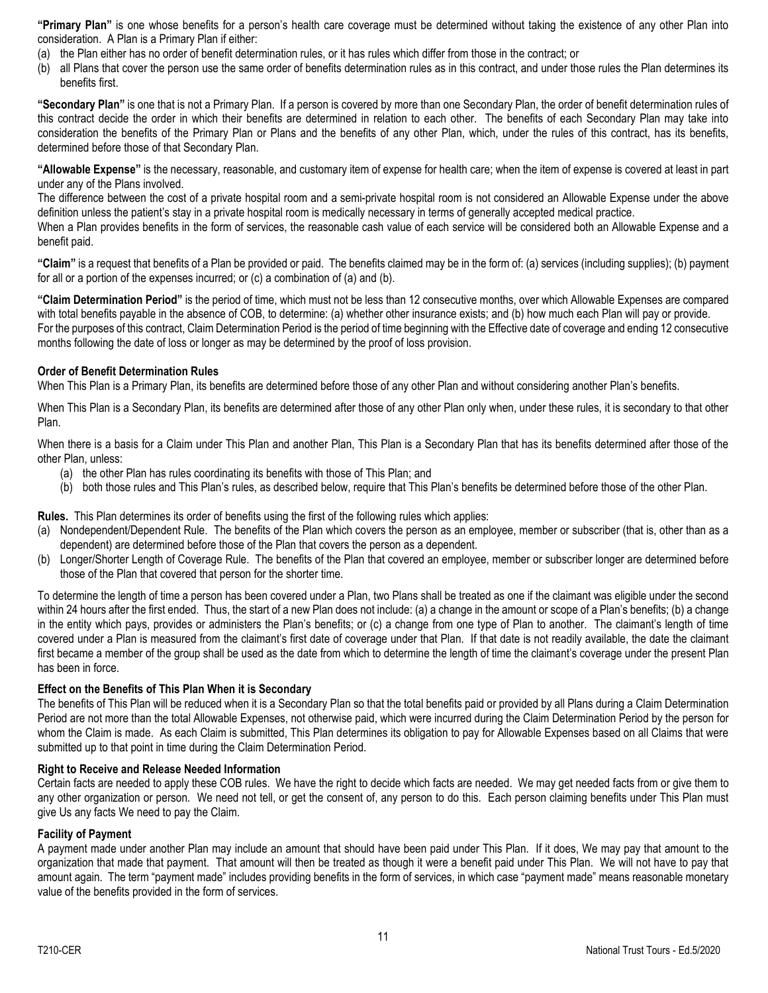**"Primary Plan"** is one whose benefits for a person's health care coverage must be determined without taking the existence of any other Plan into consideration. A Plan is a Primary Plan if either:

- (a) the Plan either has no order of benefit determination rules, or it has rules which differ from those in the contract; or
- (b) all Plans that cover the person use the same order of benefits determination rules as in this contract, and under those rules the Plan determines its benefits first.

**"Secondary Plan"** is one that is not a Primary Plan. If a person is covered by more than one Secondary Plan, the order of benefit determination rules of this contract decide the order in which their benefits are determined in relation to each other. The benefits of each Secondary Plan may take into consideration the benefits of the Primary Plan or Plans and the benefits of any other Plan, which, under the rules of this contract, has its benefits, determined before those of that Secondary Plan.

**"Allowable Expense"** is the necessary, reasonable, and customary item of expense for health care; when the item of expense is covered at least in part under any of the Plans involved.

The difference between the cost of a private hospital room and a semi-private hospital room is not considered an Allowable Expense under the above definition unless the patient's stay in a private hospital room is medically necessary in terms of generally accepted medical practice.

When a Plan provides benefits in the form of services, the reasonable cash value of each service will be considered both an Allowable Expense and a benefit paid.

**"Claim"** is a request that benefits of a Plan be provided or paid. The benefits claimed may be in the form of: (a) services (including supplies); (b) payment for all or a portion of the expenses incurred; or (c) a combination of (a) and (b).

**"Claim Determination Period"** is the period of time, which must not be less than 12 consecutive months, over which Allowable Expenses are compared with total benefits payable in the absence of COB, to determine: (a) whether other insurance exists; and (b) how much each Plan will pay or provide. For the purposes of this contract, Claim Determination Period is the period of time beginning with the Effective date of coverage and ending 12 consecutive months following the date of loss or longer as may be determined by the proof of loss provision.

#### **Order of Benefit Determination Rules**

When This Plan is a Primary Plan, its benefits are determined before those of any other Plan and without considering another Plan's benefits.

When This Plan is a Secondary Plan, its benefits are determined after those of any other Plan only when, under these rules, it is secondary to that other Plan.

When there is a basis for a Claim under This Plan and another Plan, This Plan is a Secondary Plan that has its benefits determined after those of the other Plan, unless:

- (a) the other Plan has rules coordinating its benefits with those of This Plan; and
- (b) both those rules and This Plan's rules, as described below, require that This Plan's benefits be determined before those of the other Plan.

**Rules.** This Plan determines its order of benefits using the first of the following rules which applies:

- (a) Nondependent/Dependent Rule. The benefits of the Plan which covers the person as an employee, member or subscriber (that is, other than as a dependent) are determined before those of the Plan that covers the person as a dependent.
- (b) Longer/Shorter Length of Coverage Rule. The benefits of the Plan that covered an employee, member or subscriber longer are determined before those of the Plan that covered that person for the shorter time.

To determine the length of time a person has been covered under a Plan, two Plans shall be treated as one if the claimant was eligible under the second within 24 hours after the first ended. Thus, the start of a new Plan does not include: (a) a change in the amount or scope of a Plan's benefits; (b) a change in the entity which pays, provides or administers the Plan's benefits; or (c) a change from one type of Plan to another. The claimant's length of time covered under a Plan is measured from the claimant's first date of coverage under that Plan. If that date is not readily available, the date the claimant first became a member of the group shall be used as the date from which to determine the length of time the claimant's coverage under the present Plan has been in force.

#### **Effect on the Benefits of This Plan When it is Secondary**

The benefits of This Plan will be reduced when it is a Secondary Plan so that the total benefits paid or provided by all Plans during a Claim Determination Period are not more than the total Allowable Expenses, not otherwise paid, which were incurred during the Claim Determination Period by the person for whom the Claim is made. As each Claim is submitted, This Plan determines its obligation to pay for Allowable Expenses based on all Claims that were submitted up to that point in time during the Claim Determination Period.

#### **Right to Receive and Release Needed Information**

Certain facts are needed to apply these COB rules. We have the right to decide which facts are needed. We may get needed facts from or give them to any other organization or person. We need not tell, or get the consent of, any person to do this. Each person claiming benefits under This Plan must give Us any facts We need to pay the Claim.

#### **Facility of Payment**

A payment made under another Plan may include an amount that should have been paid under This Plan. If it does, We may pay that amount to the organization that made that payment. That amount will then be treated as though it were a benefit paid under This Plan. We will not have to pay that amount again. The term "payment made" includes providing benefits in the form of services, in which case "payment made" means reasonable monetary value of the benefits provided in the form of services.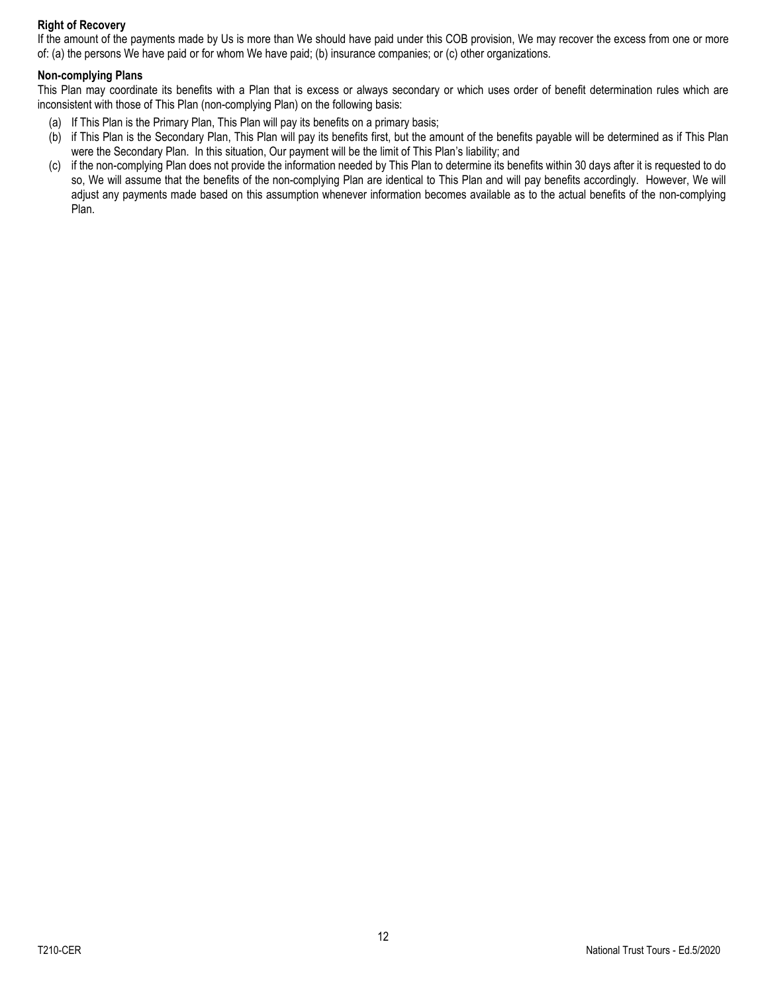## **Right of Recovery**

If the amount of the payments made by Us is more than We should have paid under this COB provision, We may recover the excess from one or more of: (a) the persons We have paid or for whom We have paid; (b) insurance companies; or (c) other organizations.

## **Non-complying Plans**

This Plan may coordinate its benefits with a Plan that is excess or always secondary or which uses order of benefit determination rules which are inconsistent with those of This Plan (non-complying Plan) on the following basis:

- (a) If This Plan is the Primary Plan, This Plan will pay its benefits on a primary basis;
- (b) if This Plan is the Secondary Plan, This Plan will pay its benefits first, but the amount of the benefits payable will be determined as if This Plan were the Secondary Plan. In this situation, Our payment will be the limit of This Plan's liability; and
- (c) if the non-complying Plan does not provide the information needed by This Plan to determine its benefits within 30 days after it is requested to do so, We will assume that the benefits of the non-complying Plan are identical to This Plan and will pay benefits accordingly. However, We will adjust any payments made based on this assumption whenever information becomes available as to the actual benefits of the non-complying Plan.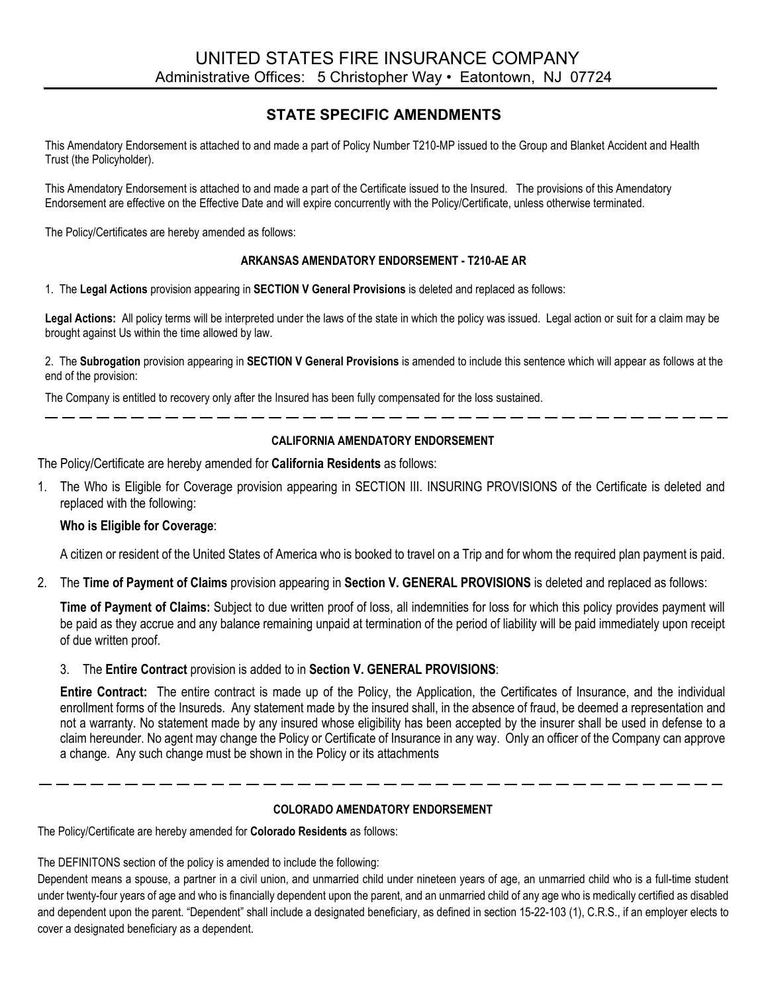# **STATE SPECIFIC AMENDMENTS**

This Amendatory Endorsement is attached to and made a part of Policy Number T210-MP issued to the Group and Blanket Accident and Health Trust (the Policyholder).

This Amendatory Endorsement is attached to and made a part of the Certificate issued to the Insured. The provisions of this Amendatory Endorsement are effective on the Effective Date and will expire concurrently with the Policy/Certificate, unless otherwise terminated.

The Policy/Certificates are hereby amended as follows:

## **ARKANSAS AMENDATORY ENDORSEMENT - T210-AE AR**

1. The **Legal Actions** provision appearing in **SECTION V General Provisions** is deleted and replaced as follows:

**Legal Actions:** All policy terms will be interpreted under the laws of the state in which the policy was issued. Legal action or suit for a claim may be brought against Us within the time allowed by law.

2. The **Subrogation** provision appearing in **SECTION V General Provisions** is amended to include this sentence which will appear as follows at the end of the provision:

The Company is entitled to recovery only after the Insured has been fully compensated for the loss sustained.

## **CALIFORNIA AMENDATORY ENDORSEMENT**

----------------------------

The Policy/Certificate are hereby amended for **California Residents** as follows:

1. The Who is Eligible for Coverage provision appearing in SECTION III. INSURING PROVISIONS of the Certificate is deleted and replaced with the following:

## **Who is Eligible for Coverage**:

A citizen or resident of the United States of America who is booked to travel on a Trip and for whom the required plan payment is paid.

2. The **Time of Payment of Claims** provision appearing in **Section V. GENERAL PROVISIONS** is deleted and replaced as follows:

**Time of Payment of Claims:** Subject to due written proof of loss, all indemnities for loss for which this policy provides payment will be paid as they accrue and any balance remaining unpaid at termination of the period of liability will be paid immediately upon receipt of due written proof.

3. The **Entire Contract** provision is added to in **Section V. GENERAL PROVISIONS**:

**Entire Contract:** The entire contract is made up of the Policy, the Application, the Certificates of Insurance, and the individual enrollment forms of the Insureds. Any statement made by the insured shall, in the absence of fraud, be deemed a representation and not a warranty. No statement made by any insured whose eligibility has been accepted by the insurer shall be used in defense to a claim hereunder. No agent may change the Policy or Certificate of Insurance in any way. Only an officer of the Company can approve a change. Any such change must be shown in the Policy or its attachments

## **COLORADO AMENDATORY ENDORSEMENT**

The Policy/Certificate are hereby amended for **Colorado Residents** as follows:

The DEFINITONS section of the policy is amended to include the following:

Dependent means a spouse, a partner in a civil union, and unmarried child under nineteen years of age, an unmarried child who is a full-time student under twenty-four years of age and who is financially dependent upon the parent, and an unmarried child of any age who is medically certified as disabled and dependent upon the parent. "Dependent" shall include a designated beneficiary, as defined in section 15-22-103 (1), C.R.S., if an employer elects to cover a designated beneficiary as a dependent.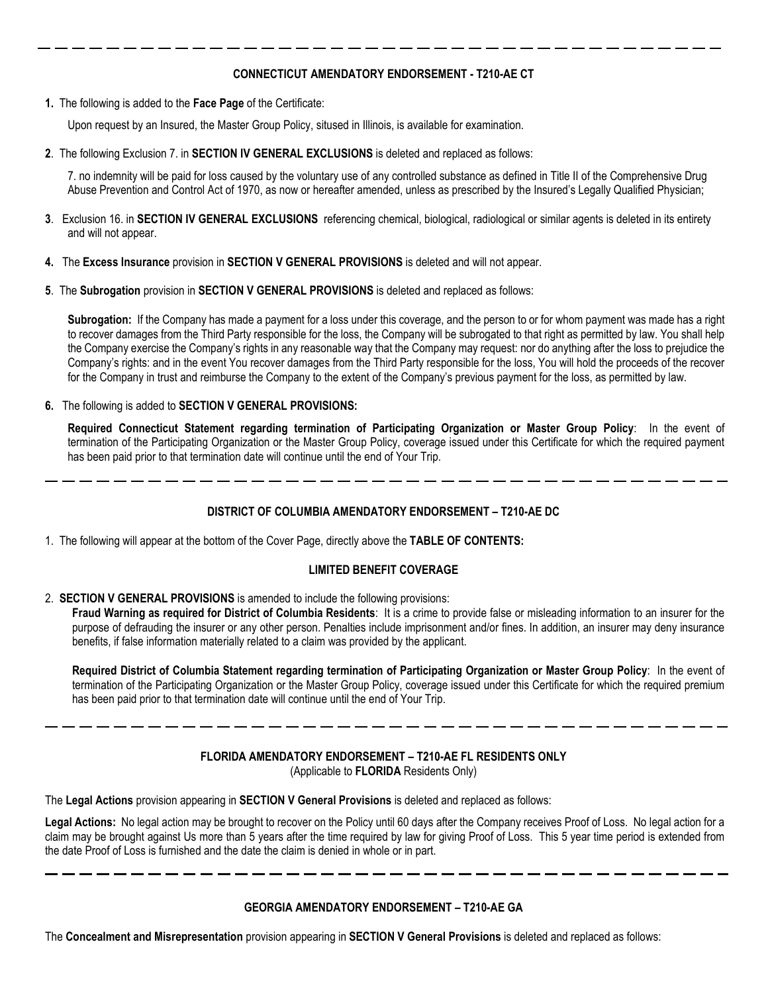## **CONNECTICUT AMENDATORY ENDORSEMENT - T210-AE CT**

**1.** The following is added to the **Face Page** of the Certificate:

Upon request by an Insured, the Master Group Policy, sitused in Illinois, is available for examination.

**2**. The following Exclusion 7. in **SECTION IV GENERAL EXCLUSIONS** is deleted and replaced as follows:

7. no indemnity will be paid for loss caused by the voluntary use of any controlled substance as defined in Title II of the Comprehensive Drug Abuse Prevention and Control Act of 1970, as now or hereafter amended, unless as prescribed by the Insured's Legally Qualified Physician;

- **3**. Exclusion 16. in **SECTION IV GENERAL EXCLUSIONS** referencing chemical, biological, radiological or similar agents is deleted in its entirety and will not appear.
- **4.** The **Excess Insurance** provision in **SECTION V GENERAL PROVISIONS** is deleted and will not appear.
- **5**. The **Subrogation** provision in **SECTION V GENERAL PROVISIONS** is deleted and replaced as follows:

**Subrogation:** If the Company has made a payment for a loss under this coverage, and the person to or for whom payment was made has a right to recover damages from the Third Party responsible for the loss, the Company will be subrogated to that right as permitted by law. You shall help the Company exercise the Company's rights in any reasonable way that the Company may request: nor do anything after the loss to prejudice the Company's rights: and in the event You recover damages from the Third Party responsible for the loss, You will hold the proceeds of the recover for the Company in trust and reimburse the Company to the extent of the Company's previous payment for the loss, as permitted by law.

**6.** The following is added to **SECTION V GENERAL PROVISIONS:**

**Required Connecticut Statement regarding termination of Participating Organization or Master Group Policy**: In the event of termination of the Participating Organization or the Master Group Policy, coverage issued under this Certificate for which the required payment has been paid prior to that termination date will continue until the end of Your Trip.

### **DISTRICT OF COLUMBIA AMENDATORY ENDORSEMENT – T210-AE DC**

1. The following will appear at the bottom of the Cover Page, directly above the **TABLE OF CONTENTS:** 

#### **LIMITED BENEFIT COVERAGE**

2. **SECTION V GENERAL PROVISIONS** is amended to include the following provisions:

**Fraud Warning as required for District of Columbia Residents**: It is a crime to provide false or misleading information to an insurer for the purpose of defrauding the insurer or any other person. Penalties include imprisonment and/or fines. In addition, an insurer may deny insurance benefits, if false information materially related to a claim was provided by the applicant.

**Required District of Columbia Statement regarding termination of Participating Organization or Master Group Policy**: In the event of termination of the Participating Organization or the Master Group Policy, coverage issued under this Certificate for which the required premium has been paid prior to that termination date will continue until the end of Your Trip.

## **FLORIDA AMENDATORY ENDORSEMENT – T210-AE FL RESIDENTS ONLY** (Applicable to **FLORIDA** Residents Only)

The **Legal Actions** provision appearing in **SECTION V General Provisions** is deleted and replaced as follows:

**Legal Actions:** No legal action may be brought to recover on the Policy until 60 days after the Company receives Proof of Loss. No legal action for a claim may be brought against Us more than 5 years after the time required by law for giving Proof of Loss. This 5 year time period is extended from the date Proof of Loss is furnished and the date the claim is denied in whole or in part.

#### **GEORGIA AMENDATORY ENDORSEMENT – T210-AE GA**

The **Concealment and Misrepresentation** provision appearing in **SECTION V General Provisions** is deleted and replaced as follows: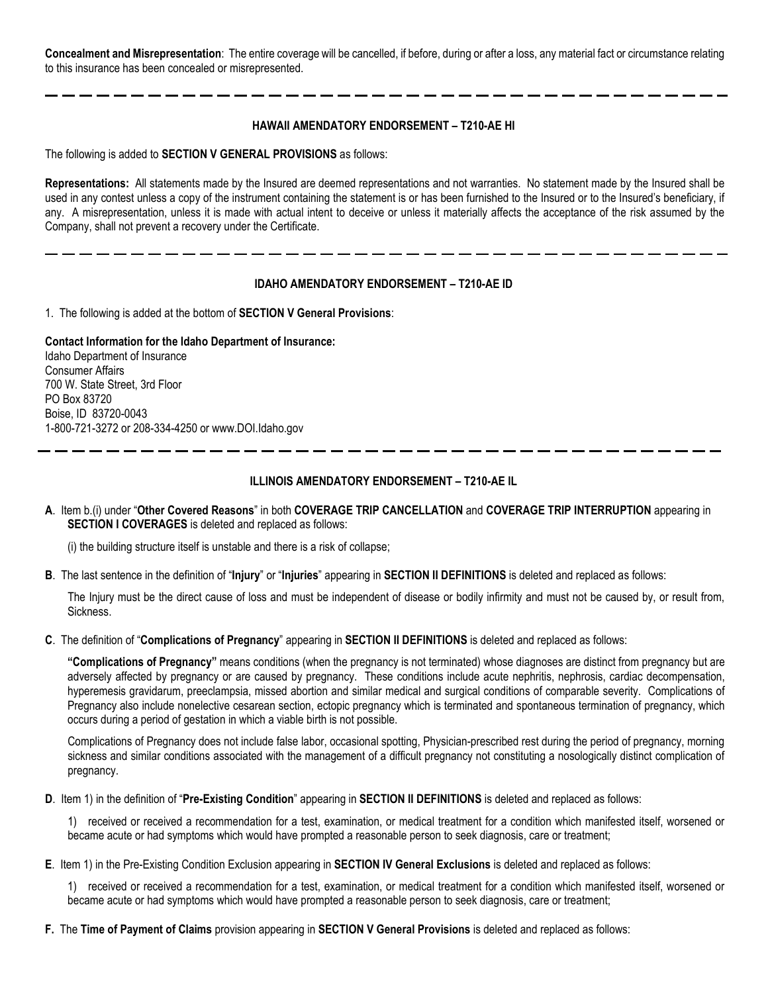**Concealment and Misrepresentation**: The entire coverage will be cancelled, if before, during or after a loss, any material fact or circumstance relating to this insurance has been concealed or misrepresented.

#### **HAWAII AMENDATORY ENDORSEMENT – T210-AE HI**

The following is added to **SECTION V GENERAL PROVISIONS** as follows:

**Representations:** All statements made by the Insured are deemed representations and not warranties. No statement made by the Insured shall be used in any contest unless a copy of the instrument containing the statement is or has been furnished to the Insured or to the Insured's beneficiary, if any. A misrepresentation, unless it is made with actual intent to deceive or unless it materially affects the acceptance of the risk assumed by the Company, shall not prevent a recovery under the Certificate.

#### **IDAHO AMENDATORY ENDORSEMENT – T210-AE ID**

1. The following is added at the bottom of **SECTION V General Provisions**:

**Contact Information for the Idaho Department of Insurance:**

Idaho Department of Insurance Consumer Affairs 700 W. State Street, 3rd Floor PO Box 83720 Boise, ID 83720-0043 1-800-721-3272 or 208-334-425[0 or www.DOI.Idaho.gov](http://www.doi.idaho.gov/)

#### **ILLINOIS AMENDATORY ENDORSEMENT – T210-AE IL**

**A**. Item b.(i) under "**Other Covered Reasons**" in both **COVERAGE TRIP CANCELLATION** and **COVERAGE TRIP INTERRUPTION** appearing in **SECTION I COVERAGES** is deleted and replaced as follows:

(i) the building structure itself is unstable and there is a risk of collapse;

**B**. The last sentence in the definition of "**Injury**" or "**Injuries**" appearing in **SECTION II DEFINITIONS** is deleted and replaced as follows:

The Injury must be the direct cause of loss and must be independent of disease or bodily infirmity and must not be caused by, or result from, Sickness.

**C**. The definition of "**Complications of Pregnancy**" appearing in **SECTION II DEFINITIONS** is deleted and replaced as follows:

**"Complications of Pregnancy"** means conditions (when the pregnancy is not terminated) whose diagnoses are distinct from pregnancy but are adversely affected by pregnancy or are caused by pregnancy. These conditions include acute nephritis, nephrosis, cardiac decompensation, hyperemesis gravidarum, preeclampsia, missed abortion and similar medical and surgical conditions of comparable severity. Complications of Pregnancy also include nonelective cesarean section, ectopic pregnancy which is terminated and spontaneous termination of pregnancy, which occurs during a period of gestation in which a viable birth is not possible.

Complications of Pregnancy does not include false labor, occasional spotting, Physician-prescribed rest during the period of pregnancy, morning sickness and similar conditions associated with the management of a difficult pregnancy not constituting a nosologically distinct complication of pregnancy.

**D**. Item 1) in the definition of "**Pre-Existing Condition**" appearing in **SECTION II DEFINITIONS** is deleted and replaced as follows:

1) received or received a recommendation for a test, examination, or medical treatment for a condition which manifested itself, worsened or became acute or had symptoms which would have prompted a reasonable person to seek diagnosis, care or treatment;

**E**. Item 1) in the Pre-Existing Condition Exclusion appearing in **SECTION IV General Exclusions** is deleted and replaced as follows:

1) received or received a recommendation for a test, examination, or medical treatment for a condition which manifested itself, worsened or became acute or had symptoms which would have prompted a reasonable person to seek diagnosis, care or treatment;

**F.** The **Time of Payment of Claims** provision appearing in **SECTION V General Provisions** is deleted and replaced as follows: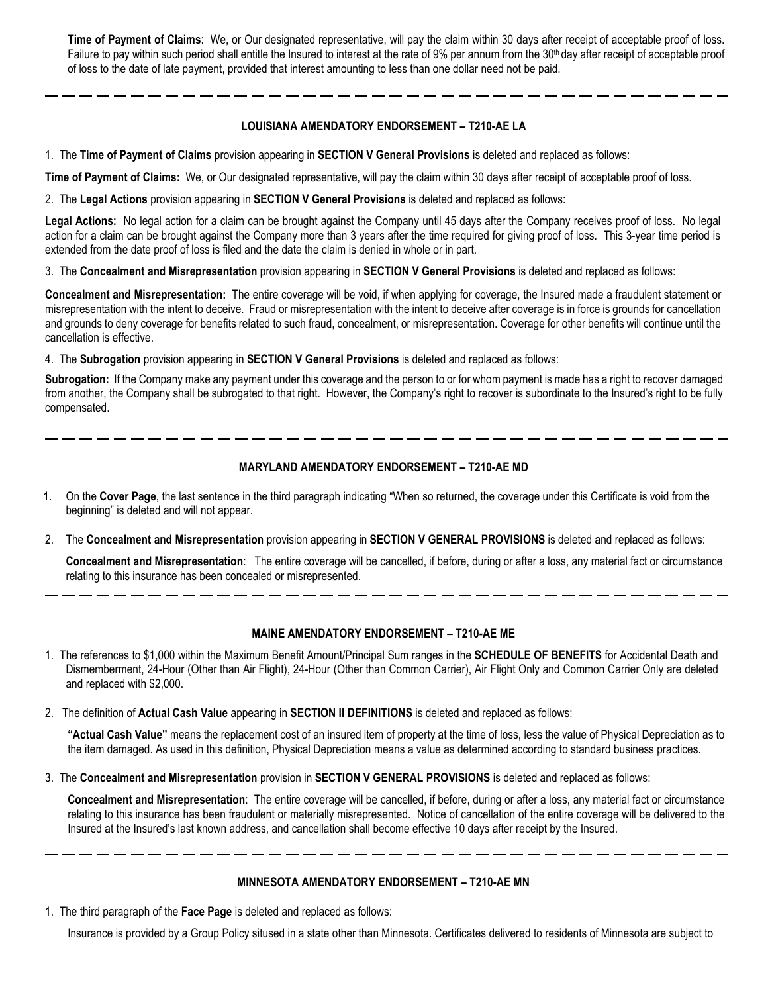**Time of Payment of Claims**: We, or Our designated representative, will pay the claim within 30 days after receipt of acceptable proof of loss. Failure to pay within such period shall entitle the Insured to interest at the rate of 9% per annum from the 30<sup>th</sup> day after receipt of acceptable proof of loss to the date of late payment, provided that interest amounting to less than one dollar need not be paid.

## **LOUISIANA AMENDATORY ENDORSEMENT – T210-AE LA**

1. The **Time of Payment of Claims** provision appearing in **SECTION V General Provisions** is deleted and replaced as follows:

**Time of Payment of Claims:** We, or Our designated representative, will pay the claim within 30 days after receipt of acceptable proof of loss.

2. The **Legal Actions** provision appearing in **SECTION V General Provisions** is deleted and replaced as follows:

**Legal Actions:** No legal action for a claim can be brought against the Company until 45 days after the Company receives proof of loss. No legal action for a claim can be brought against the Company more than 3 years after the time required for giving proof of loss. This 3-year time period is extended from the date proof of loss is filed and the date the claim is denied in whole or in part.

3. The **Concealment and Misrepresentation** provision appearing in **SECTION V General Provisions** is deleted and replaced as follows:

**Concealment and Misrepresentation:** The entire coverage will be void, if when applying for coverage, the Insured made a fraudulent statement or misrepresentation with the intent to deceive. Fraud or misrepresentation with the intent to deceive after coverage is in force is grounds for cancellation and grounds to deny coverage for benefits related to such fraud, concealment, or misrepresentation. Coverage for other benefits will continue until the cancellation is effective.

4. The **Subrogation** provision appearing in **SECTION V General Provisions** is deleted and replaced as follows:

**Subrogation:** If the Company make any payment under this coverage and the person to or for whom payment is made has a right to recover damaged from another, the Company shall be subrogated to that right. However, the Company's right to recover is subordinate to the Insured's right to be fully compensated.

## **MARYLAND AMENDATORY ENDORSEMENT – T210-AE MD**

- 1. On the **Cover Page**, the last sentence in the third paragraph indicating "When so returned, the coverage under this Certificate is void from the beginning" is deleted and will not appear.
- 2. The **Concealment and Misrepresentation** provision appearing in **SECTION V GENERAL PROVISIONS** is deleted and replaced as follows:

**Concealment and Misrepresentation**: The entire coverage will be cancelled, if before, during or after a loss, any material fact or circumstance relating to this insurance has been concealed or misrepresented.

## **MAINE AMENDATORY ENDORSEMENT – T210-AE ME**

- 1. The references to \$1,000 within the Maximum Benefit Amount/Principal Sum ranges in the **SCHEDULE OF BENEFITS** for Accidental Death and Dismemberment, 24-Hour (Other than Air Flight), 24-Hour (Other than Common Carrier), Air Flight Only and Common Carrier Only are deleted and replaced with \$2,000.
- 2. The definition of **Actual Cash Value** appearing in **SECTION II DEFINITIONS** is deleted and replaced as follows:

**"Actual Cash Value"** means the replacement cost of an insured item of property at the time of loss, less the value of Physical Depreciation as to the item damaged. As used in this definition, Physical Depreciation means a value as determined according to standard business practices.

3. The **Concealment and Misrepresentation** provision in **SECTION V GENERAL PROVISIONS** is deleted and replaced as follows:

**Concealment and Misrepresentation**: The entire coverage will be cancelled, if before, during or after a loss, any material fact or circumstance relating to this insurance has been fraudulent or materially misrepresented. Notice of cancellation of the entire coverage will be delivered to the Insured at the Insured's last known address, and cancellation shall become effective 10 days after receipt by the Insured.

## **MINNESOTA AMENDATORY ENDORSEMENT – T210-AE MN**

1. The third paragraph of the **Face Page** is deleted and replaced as follows:

Insurance is provided by a Group Policy sitused in a state other than Minnesota. Certificates delivered to residents of Minnesota are subject to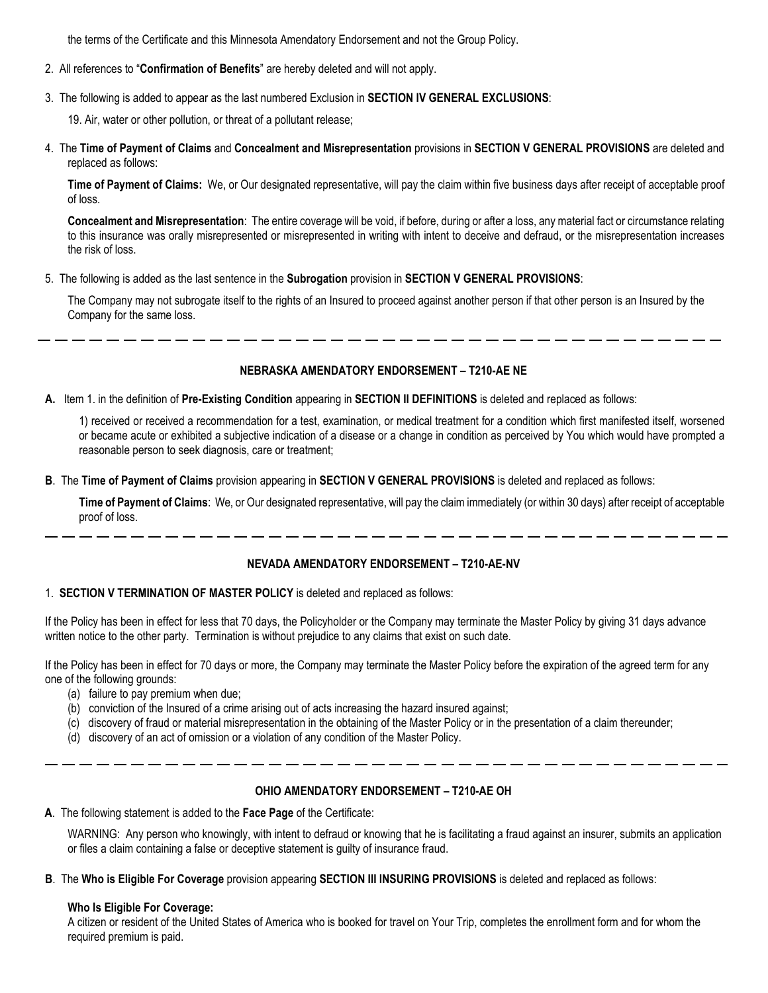the terms of the Certificate and this Minnesota Amendatory Endorsement and not the Group Policy.

- 2. All references to "**Confirmation of Benefits**" are hereby deleted and will not apply.
- 3. The following is added to appear as the last numbered Exclusion in **SECTION IV GENERAL EXCLUSIONS**:
	- 19. Air, water or other pollution, or threat of a pollutant release;
- 4. The **Time of Payment of Claims** and **Concealment and Misrepresentation** provisions in **SECTION V GENERAL PROVISIONS** are deleted and replaced as follows:

**Time of Payment of Claims:** We, or Our designated representative, will pay the claim within five business days after receipt of acceptable proof of loss.

**Concealment and Misrepresentation**: The entire coverage will be void, if before, during or after a loss, any material fact or circumstance relating to this insurance was orally misrepresented or misrepresented in writing with intent to deceive and defraud, or the misrepresentation increases the risk of loss.

5. The following is added as the last sentence in the **Subrogation** provision in **SECTION V GENERAL PROVISIONS**:

The Company may not subrogate itself to the rights of an Insured to proceed against another person if that other person is an Insured by the Company for the same loss.

## **NEBRASKA AMENDATORY ENDORSEMENT – T210-AE NE**

A. Item 1. in the definition of Pre-Existing Condition appearing in SECTION II DEFINITIONS is deleted and replaced as follows:

1) received or received a recommendation for a test, examination, or medical treatment for a condition which first manifested itself, worsened or became acute or exhibited a subjective indication of a disease or a change in condition as perceived by You which would have prompted a reasonable person to seek diagnosis, care or treatment;

**B**. The **Time of Payment of Claims** provision appearing in **SECTION V GENERAL PROVISIONS** is deleted and replaced as follows:

**Time of Payment of Claims**: We, or Our designated representative, will pay the claim immediately (or within 30 days) after receipt of acceptable proof of loss.

#### **NEVADA AMENDATORY ENDORSEMENT – T210-AE-NV**

#### 1. **SECTION V TERMINATION OF MASTER POLICY** is deleted and replaced as follows:

If the Policy has been in effect for less that 70 days, the Policyholder or the Company may terminate the Master Policy by giving 31 days advance written notice to the other party. Termination is without prejudice to any claims that exist on such date.

If the Policy has been in effect for 70 days or more, the Company may terminate the Master Policy before the expiration of the agreed term for any one of the following grounds:

- (a) failure to pay premium when due;
- (b) conviction of the Insured of a crime arising out of acts increasing the hazard insured against;
- (c) discovery of fraud or material misrepresentation in the obtaining of the Master Policy or in the presentation of a claim thereunder;
- (d) discovery of an act of omission or a violation of any condition of the Master Policy.

## **OHIO AMENDATORY ENDORSEMENT – T210-AE OH**

**A**. The following statement is added to the **Face Page** of the Certificate:

WARNING: Any person who knowingly, with intent to defraud or knowing that he is facilitating a fraud against an insurer, submits an application or files a claim containing a false or deceptive statement is guilty of insurance fraud.

**B**. The **Who is Eligible For Coverage** provision appearing **SECTION III INSURING PROVISIONS** is deleted and replaced as follows:

#### **Who Is Eligible For Coverage:**

A citizen or resident of the United States of America who is booked for travel on Your Trip, completes the enrollment form and for whom the required premium is paid.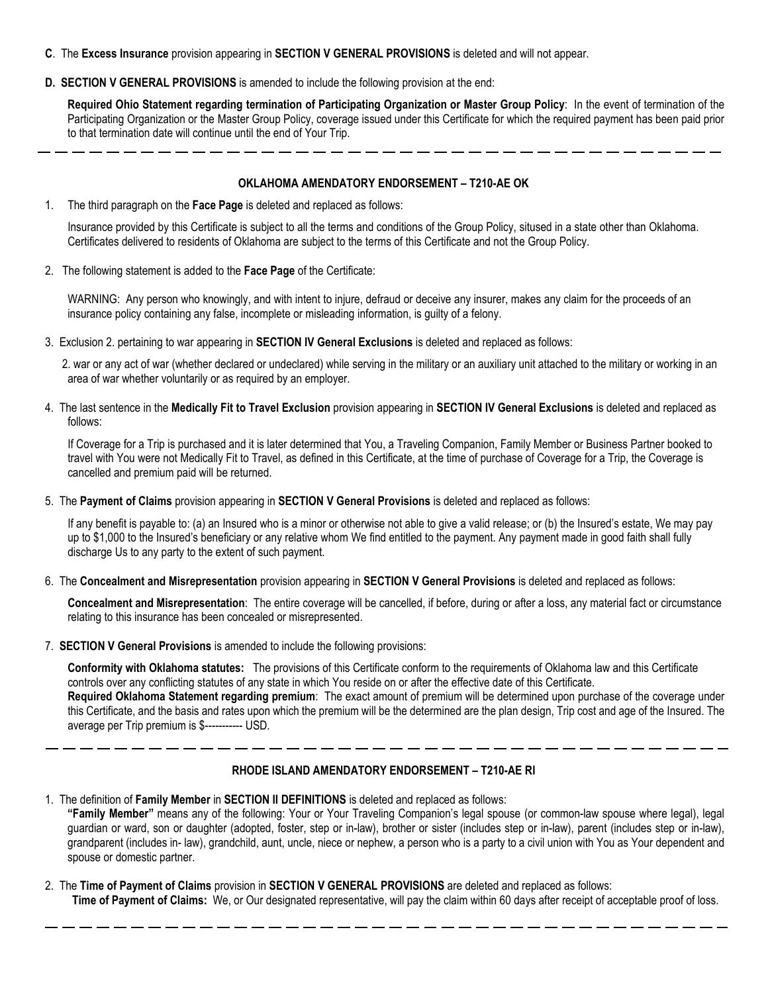- **C**. The **Excess Insurance** provision appearing in **SECTION V GENERAL PROVISIONS** is deleted and will not appear.
- **D. SECTION V GENERAL PROVISIONS** is amended to include the following provision at the end:

**Required Ohio Statement regarding termination of Participating Organization or Master Group Policy**: In the event of termination of the Participating Organization or the Master Group Policy, coverage issued under this Certificate for which the required payment has been paid prior to that termination date will continue until the end of Your Trip.

#### **OKLAHOMA AMENDATORY ENDORSEMENT – T210-AE OK**

1. The third paragraph on the **Face Page** is deleted and replaced as follows:

Insurance provided by this Certificate is subject to all the terms and conditions of the Group Policy, sitused in a state other than Oklahoma. Certificates delivered to residents of Oklahoma are subject to the terms of this Certificate and not the Group Policy.

2. The following statement is added to the **Face Page** of the Certificate:

WARNING: Any person who knowingly, and with intent to injure, defraud or deceive any insurer, makes any claim for the proceeds of an insurance policy containing any false, incomplete or misleading information, is guilty of a felony.

3. Exclusion 2. pertaining to war appearing in **SECTION IV General Exclusions** is deleted and replaced as follows:

2. war or any act of war (whether declared or undeclared) while serving in the military or an auxiliary unit attached to the military or working in an area of war whether voluntarily or as required by an employer.

4. The last sentence in the **Medically Fit to Travel Exclusion** provision appearing in **SECTION IV General Exclusions** is deleted and replaced as follows:

If Coverage for a Trip is purchased and it is later determined that You, a Traveling Companion, Family Member or Business Partner booked to travel with You were not Medically Fit to Travel, as defined in this Certificate, at the time of purchase of Coverage for a Trip, the Coverage is cancelled and premium paid will be returned.

5. The **Payment of Claims** provision appearing in **SECTION V General Provisions** is deleted and replaced as follows:

If any benefit is payable to: (a) an Insured who is a minor or otherwise not able to give a valid release; or (b) the Insured's estate, We may pay up to \$1,000 to the Insured's beneficiary or any relative whom We find entitled to the payment. Any payment made in good faith shall fully discharge Us to any party to the extent of such payment.

6. The **Concealment and Misrepresentation** provision appearing in **SECTION V General Provisions** is deleted and replaced as follows:

**Concealment and Misrepresentation**: The entire coverage will be cancelled, if before, during or after a loss, any material fact or circumstance relating to this insurance has been concealed or misrepresented.

7. **SECTION V General Provisions** is amended to include the following provisions:

spouse or domestic partner.

**Conformity with Oklahoma statutes:** The provisions of this Certificate conform to the requirements of Oklahoma law and this Certificate controls over any conflicting statutes of any state in which You reside on or after the effective date of this Certificate. **Required Oklahoma Statement regarding premium**: The exact amount of premium will be determined upon purchase of the coverage under this Certificate, and the basis and rates upon which the premium will be the determined are the plan design, Trip cost and age of the Insured. The average per Trip premium is \$----------- USD.

#### **RHODE ISLAND AMENDATORY ENDORSEMENT – T210-AE RI**

1. The definition of **Family Member** in **SECTION II DEFINITIONS** is deleted and replaced as follows: **"Family Member"** means any of the following: Your or Your Traveling Companion's legal spouse (or common-law spouse where legal), legal guardian or ward, son or daughter (adopted, foster, step or in-law), brother or sister (includes step or in-law), parent (includes step or in-law), grandparent (includes in- law), grandchild, aunt, uncle, niece or nephew, a person who is a party to a civil union with You as Your dependent and

2. The **Time of Payment of Claims** provision in **SECTION V GENERAL PROVISIONS** are deleted and replaced as follows: **Time of Payment of Claims:** We, or Our designated representative, will pay the claim within 60 days after receipt of acceptable proof of loss.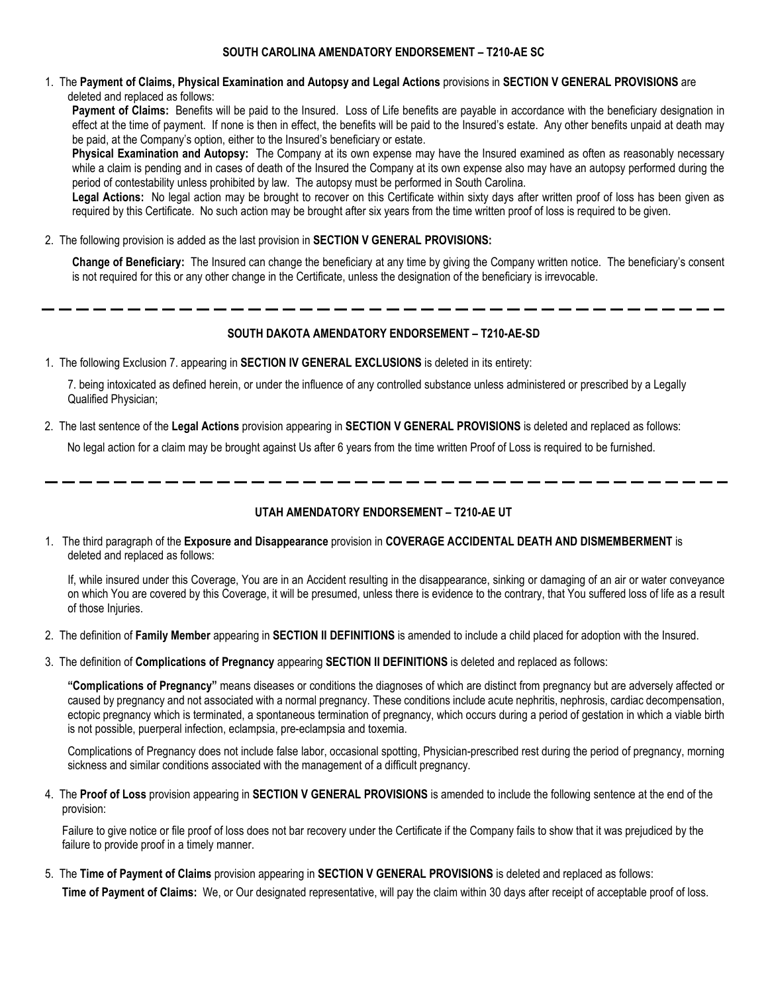1. The **Payment of Claims, Physical Examination and Autopsy and Legal Actions** provisions in **SECTION V GENERAL PROVISIONS** are deleted and replaced as follows:

**Payment of Claims:** Benefits will be paid to the Insured. Loss of Life benefits are payable in accordance with the beneficiary designation in effect at the time of payment. If none is then in effect, the benefits will be paid to the Insured's estate. Any other benefits unpaid at death may be paid, at the Company's option, either to the Insured's beneficiary or estate.

**Physical Examination and Autopsy:** The Company at its own expense may have the Insured examined as often as reasonably necessary while a claim is pending and in cases of death of the Insured the Company at its own expense also may have an autopsy performed during the period of contestability unless prohibited by law. The autopsy must be performed in South Carolina.

Legal Actions: No legal action may be brought to recover on this Certificate within sixty days after written proof of loss has been given as required by this Certificate. No such action may be brought after six years from the time written proof of loss is required to be given.

2. The following provision is added as the last provision in **SECTION V GENERAL PROVISIONS:**

**Change of Beneficiary:** The Insured can change the beneficiary at any time by giving the Company written notice. The beneficiary's consent is not required for this or any other change in the Certificate, unless the designation of the beneficiary is irrevocable.

#### **SOUTH DAKOTA AMENDATORY ENDORSEMENT – T210-AE-SD**

1. The following Exclusion 7. appearing in **SECTION IV GENERAL EXCLUSIONS** is deleted in its entirety:

7. being intoxicated as defined herein, or under the influence of any controlled substance unless administered or prescribed by a Legally Qualified Physician;

2. The last sentence of the **Legal Actions** provision appearing in **SECTION V GENERAL PROVISIONS** is deleted and replaced as follows:

No legal action for a claim may be brought against Us after 6 years from the time written Proof of Loss is required to be furnished.

#### **UTAH AMENDATORY ENDORSEMENT – T210-AE UT**

1. The third paragraph of the **Exposure and Disappearance** provision in **COVERAGE ACCIDENTAL DEATH AND DISMEMBERMENT** is deleted and replaced as follows:

If, while insured under this Coverage, You are in an Accident resulting in the disappearance, sinking or damaging of an air or water conveyance on which You are covered by this Coverage, it will be presumed, unless there is evidence to the contrary, that You suffered loss of life as a result of those Injuries.

- 2. The definition of **Family Member** appearing in **SECTION II DEFINITIONS** is amended to include a child placed for adoption with the Insured.
- 3. The definition of **Complications of Pregnancy** appearing **SECTION II DEFINITIONS** is deleted and replaced as follows:

**"Complications of Pregnancy"** means diseases or conditions the diagnoses of which are distinct from pregnancy but are adversely affected or caused by pregnancy and not associated with a normal pregnancy. These conditions include acute nephritis, nephrosis, cardiac decompensation, ectopic pregnancy which is terminated, a spontaneous termination of pregnancy, which occurs during a period of gestation in which a viable birth is not possible, puerperal infection, eclampsia, pre-eclampsia and toxemia.

Complications of Pregnancy does not include false labor, occasional spotting, Physician-prescribed rest during the period of pregnancy, morning sickness and similar conditions associated with the management of a difficult pregnancy.

4. The **Proof of Loss** provision appearing in **SECTION V GENERAL PROVISIONS** is amended to include the following sentence at the end of the provision:

Failure to give notice or file proof of loss does not bar recovery under the Certificate if the Company fails to show that it was prejudiced by the failure to provide proof in a timely manner.

5. The **Time of Payment of Claims** provision appearing in **SECTION V GENERAL PROVISIONS** is deleted and replaced as follows:

**Time of Payment of Claims:** We, or Our designated representative, will pay the claim within 30 days after receipt of acceptable proof of loss.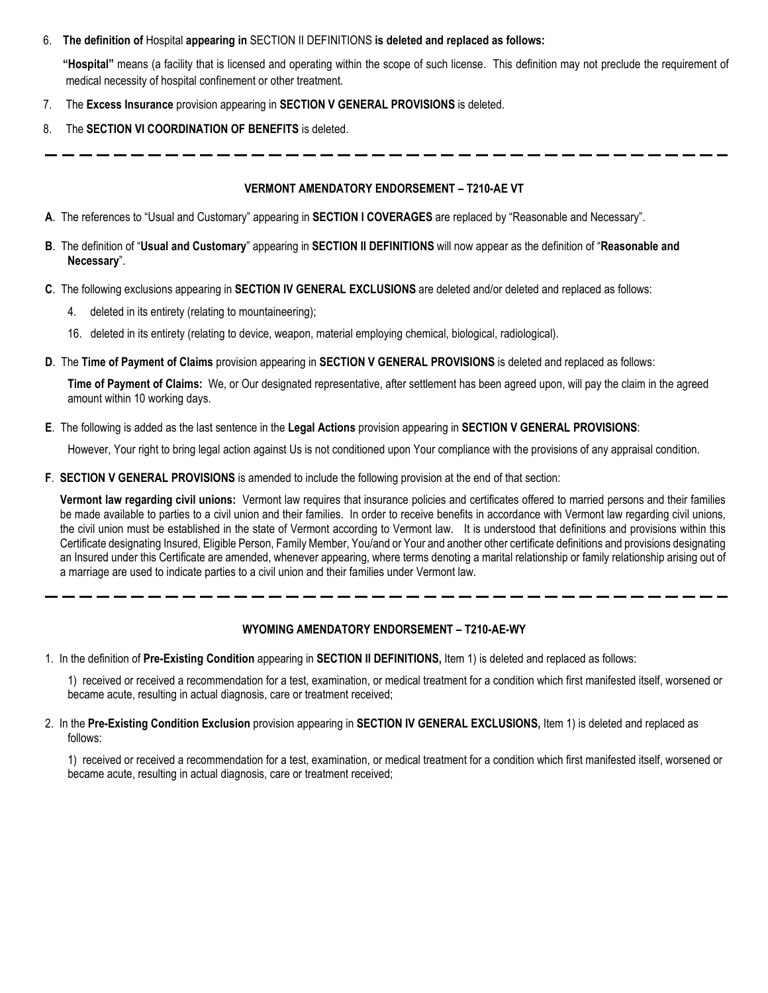### 6. **The definition of** Hospital **appearing in** SECTION II DEFINITIONS **is deleted and replaced as follows:**

**"Hospital"** means (a facility that is licensed and operating within the scope of such license. This definition may not preclude the requirement of medical necessity of hospital confinement or other treatment.

- 7. The **Excess Insurance** provision appearing in **SECTION V GENERAL PROVISIONS** is deleted.
- 8. The **SECTION VI COORDINATION OF BENEFITS** is deleted.

## **VERMONT AMENDATORY ENDORSEMENT – T210-AE VT**

- **A**. The references to "Usual and Customary" appearing in **SECTION I COVERAGES** are replaced by "Reasonable and Necessary".
- **B**. The definition of "**Usual and Customary**" appearing in **SECTION II DEFINITIONS** will now appear as the definition of "**Reasonable and Necessary**".
- **C**. The following exclusions appearing in **SECTION IV GENERAL EXCLUSIONS** are deleted and/or deleted and replaced as follows:
	- 4. deleted in its entirety (relating to mountaineering);
	- 16. deleted in its entirety (relating to device, weapon, material employing chemical, biological, radiological).
- **D**. The **Time of Payment of Claims** provision appearing in **SECTION V GENERAL PROVISIONS** is deleted and replaced as follows:

**Time of Payment of Claims:** We, or Our designated representative, after settlement has been agreed upon, will pay the claim in the agreed amount within 10 working days.

**E**. The following is added as the last sentence in the **Legal Actions** provision appearing in **SECTION V GENERAL PROVISIONS**:

However, Your right to bring legal action against Us is not conditioned upon Your compliance with the provisions of any appraisal condition.

**F**. **SECTION V GENERAL PROVISIONS** is amended to include the following provision at the end of that section:

**Vermont law regarding civil unions:** Vermont law requires that insurance policies and certificates offered to married persons and their families be made available to parties to a civil union and their families. In order to receive benefits in accordance with Vermont law regarding civil unions, the civil union must be established in the state of Vermont according to Vermont law. It is understood that definitions and provisions within this Certificate designating Insured, Eligible Person, Family Member, You/and or Your and another other certificate definitions and provisions designating an Insured under this Certificate are amended, whenever appearing, where terms denoting a marital relationship or family relationship arising out of a marriage are used to indicate parties to a civil union and their families under Vermont law.

## **WYOMING AMENDATORY ENDORSEMENT – T210-AE-WY**

1. In the definition of **Pre-Existing Condition** appearing in **SECTION II DEFINITIONS,** Item 1) is deleted and replaced as follows:

1) received or received a recommendation for a test, examination, or medical treatment for a condition which first manifested itself, worsened or became acute, resulting in actual diagnosis, care or treatment received;

2. In the **Pre-Existing Condition Exclusion** provision appearing in **SECTION IV GENERAL EXCLUSIONS,** Item 1) is deleted and replaced as follows:

1) received or received a recommendation for a test, examination, or medical treatment for a condition which first manifested itself, worsened or became acute, resulting in actual diagnosis, care or treatment received;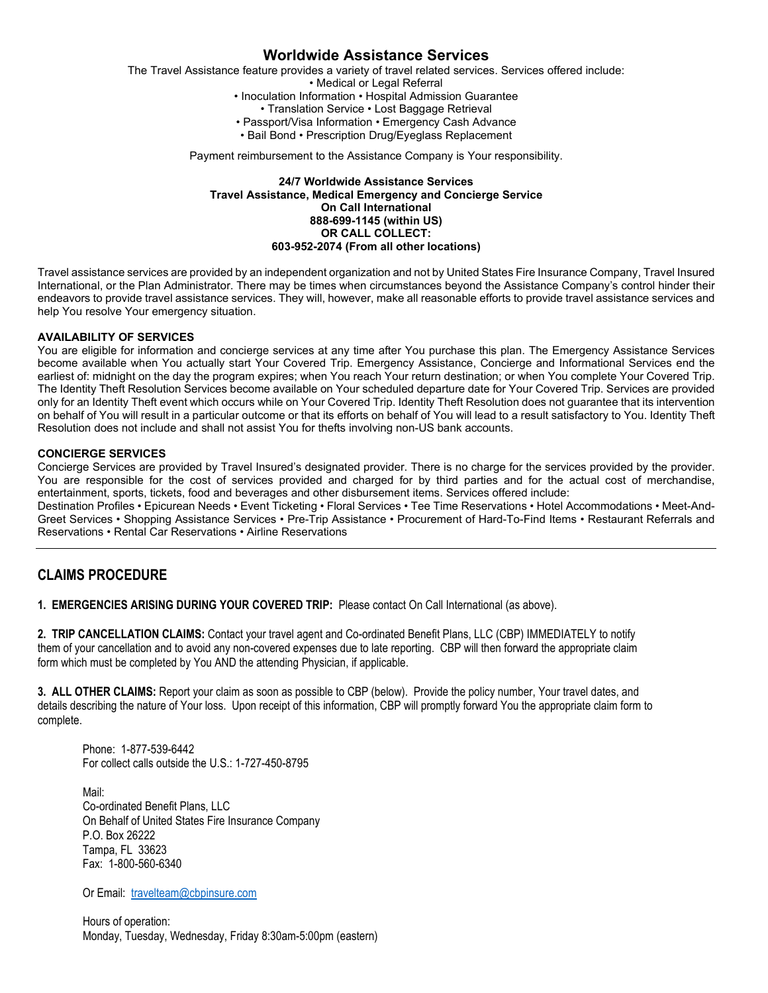The Travel Assistance feature provides a variety of travel related services. Services offered include: • Medical or Legal Referral • Inoculation Information • Hospital Admission Guarantee • Translation Service • Lost Baggage Retrieval • Passport/Visa Information • Emergency Cash Advance • Bail Bond • Prescription Drug/Eyeglass Replacement Payment reimbursement to the Assistance Company is Your responsibility.

#### **24/7 Worldwide Assistance Services Travel Assistance, Medical Emergency and Concierge Service On Call International 888-699-1145 (within US) OR CALL COLLECT: 603-952-2074 (From all other locations)**

Travel assistance services are provided by an independent organization and not by United States Fire Insurance Company, Travel Insured International, or the Plan Administrator. There may be times when circumstances beyond the Assistance Company's control hinder their endeavors to provide travel assistance services. They will, however, make all reasonable efforts to provide travel assistance services and help You resolve Your emergency situation.

#### **AVAILABILITY OF SERVICES**

You are eligible for information and concierge services at any time after You purchase this plan. The Emergency Assistance Services become available when You actually start Your Covered Trip. Emergency Assistance, Concierge and Informational Services end the earliest of: midnight on the day the program expires; when You reach Your return destination; or when You complete Your Covered Trip. The Identity Theft Resolution Services become available on Your scheduled departure date for Your Covered Trip. Services are provided only for an Identity Theft event which occurs while on Your Covered Trip. Identity Theft Resolution does not guarantee that its intervention on behalf of You will result in a particular outcome or that its efforts on behalf of You will lead to a result satisfactory to You. Identity Theft Resolution does not include and shall not assist You for thefts involving non-US bank accounts.

#### **CONCIERGE SERVICES**

Concierge Services are provided by Travel Insured's designated provider. There is no charge for the services provided by the provider. You are responsible for the cost of services provided and charged for by third parties and for the actual cost of merchandise, entertainment, sports, tickets, food and beverages and other disbursement items. Services offered include:

Destination Profiles • Epicurean Needs • Event Ticketing • Floral Services • Tee Time Reservations • Hotel Accommodations • Meet-And-Greet Services • Shopping Assistance Services • Pre-Trip Assistance • Procurement of Hard-To-Find Items • Restaurant Referrals and Reservations • Rental Car Reservations • Airline Reservations

## **CLAIMS PROCEDURE**

**1. EMERGENCIES ARISING DURING YOUR COVERED TRIP:** Please contact On Call International (as above).

**2. TRIP CANCELLATION CLAIMS:** Contact your travel agent and Co-ordinated Benefit Plans, LLC (CBP) IMMEDIATELY to notify them of your cancellation and to avoid any non-covered expenses due to late reporting. CBP will then forward the appropriate claim form which must be completed by You AND the attending Physician, if applicable.

**3. ALL OTHER CLAIMS:** Report your claim as soon as possible to CBP (below). Provide the policy number, Your travel dates, and details describing the nature of Your loss. Upon receipt of this information, CBP will promptly forward You the appropriate claim form to complete.

Phone: 1-877-539-6442 For collect calls outside the U.S.: 1-727-450-8795

Mail: Co-ordinated Benefit Plans, LLC On Behalf of United States Fire Insurance Company P.O. Box 26222 Tampa, FL 33623 Fax: 1-800-560-6340

Or Email: [travelteam@cbpinsure.com](mailto:travelteam@cbpinsure.com)

Hours of operation: Monday, Tuesday, Wednesday, Friday 8:30am-5:00pm (eastern)

# **Worldwide Assistance Services**